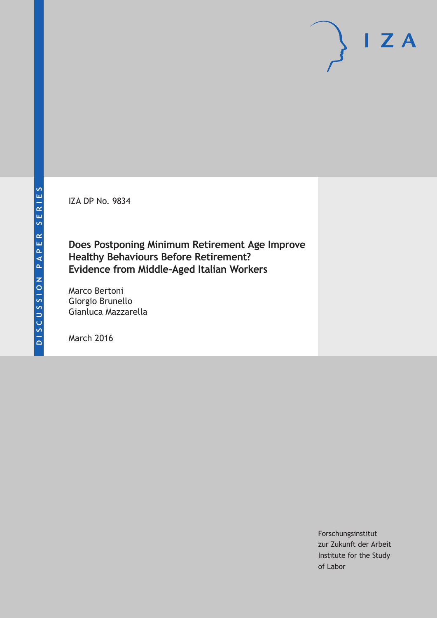IZA DP No. 9834

## **Does Postponing Minimum Retirement Age Improve Healthy Behaviours Before Retirement? Evidence from Middle-Aged Italian Workers**

Marco Bertoni Giorgio Brunello Gianluca Mazzarella

March 2016

Forschungsinstitut zur Zukunft der Arbeit Institute for the Study of Labor

 $I Z A$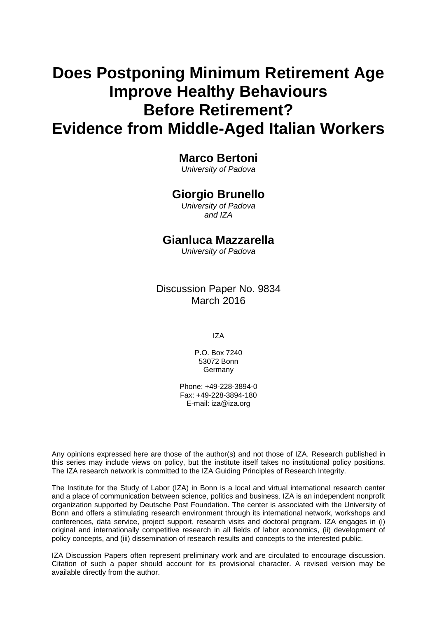# **Does Postponing Minimum Retirement Age Improve Healthy Behaviours Before Retirement? Evidence from Middle-Aged Italian Workers**

## **Marco Bertoni**

*University of Padova* 

## **Giorgio Brunello**

*University of Padova and IZA* 

## **Gianluca Mazzarella**

*University of Padova*

## Discussion Paper No. 9834 March 2016

IZA

P.O. Box 7240 53072 Bonn Germany

Phone: +49-228-3894-0 Fax: +49-228-3894-180 E-mail: iza@iza.org

Any opinions expressed here are those of the author(s) and not those of IZA. Research published in this series may include views on policy, but the institute itself takes no institutional policy positions. The IZA research network is committed to the IZA Guiding Principles of Research Integrity.

The Institute for the Study of Labor (IZA) in Bonn is a local and virtual international research center and a place of communication between science, politics and business. IZA is an independent nonprofit organization supported by Deutsche Post Foundation. The center is associated with the University of Bonn and offers a stimulating research environment through its international network, workshops and conferences, data service, project support, research visits and doctoral program. IZA engages in (i) original and internationally competitive research in all fields of labor economics, (ii) development of policy concepts, and (iii) dissemination of research results and concepts to the interested public.

IZA Discussion Papers often represent preliminary work and are circulated to encourage discussion. Citation of such a paper should account for its provisional character. A revised version may be available directly from the author.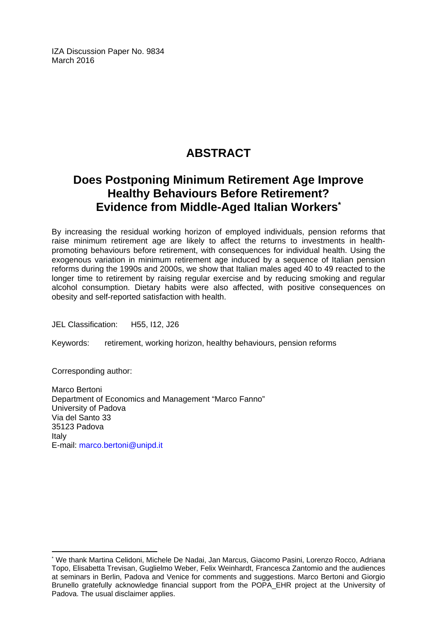IZA Discussion Paper No. 9834 March 2016

## **ABSTRACT**

## **Does Postponing Minimum Retirement Age Improve Healthy Behaviours Before Retirement? Evidence from Middle-Aged Italian Workers\***

By increasing the residual working horizon of employed individuals, pension reforms that raise minimum retirement age are likely to affect the returns to investments in healthpromoting behaviours before retirement, with consequences for individual health. Using the exogenous variation in minimum retirement age induced by a sequence of Italian pension reforms during the 1990s and 2000s, we show that Italian males aged 40 to 49 reacted to the longer time to retirement by raising regular exercise and by reducing smoking and regular alcohol consumption. Dietary habits were also affected, with positive consequences on obesity and self-reported satisfaction with health.

JEL Classification: H55, I12, J26

Keywords: retirement, working horizon, healthy behaviours, pension reforms

Corresponding author:

 $\overline{a}$ 

Marco Bertoni Department of Economics and Management "Marco Fanno" University of Padova Via del Santo 33 35123 Padova Italy E-mail: marco.bertoni@unipd.it

<sup>\*</sup> We thank Martina Celidoni, Michele De Nadai, Jan Marcus, Giacomo Pasini, Lorenzo Rocco, Adriana Topo, Elisabetta Trevisan, Guglielmo Weber, Felix Weinhardt, Francesca Zantomio and the audiences at seminars in Berlin, Padova and Venice for comments and suggestions. Marco Bertoni and Giorgio Brunello gratefully acknowledge financial support from the POPA\_EHR project at the University of Padova. The usual disclaimer applies.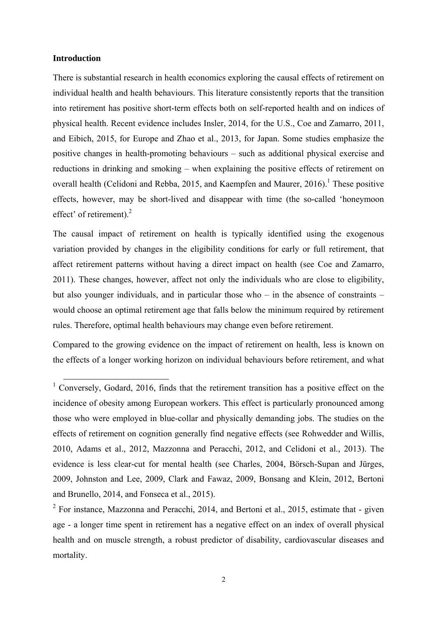#### **Introduction**

There is substantial research in health economics exploring the causal effects of retirement on individual health and health behaviours. This literature consistently reports that the transition into retirement has positive short-term effects both on self-reported health and on indices of physical health. Recent evidence includes Insler, 2014, for the U.S., Coe and Zamarro, 2011, and Eibich, 2015, for Europe and Zhao et al., 2013, for Japan. Some studies emphasize the positive changes in health-promoting behaviours – such as additional physical exercise and reductions in drinking and smoking – when explaining the positive effects of retirement on overall health (Celidoni and Rebba, 2015, and Kaempfen and Maurer,  $2016$ ).<sup>1</sup> These positive effects, however, may be short-lived and disappear with time (the so-called 'honeymoon effect' of retirement). $^{2}$ 

The causal impact of retirement on health is typically identified using the exogenous variation provided by changes in the eligibility conditions for early or full retirement, that affect retirement patterns without having a direct impact on health (see Coe and Zamarro, 2011). These changes, however, affect not only the individuals who are close to eligibility, but also younger individuals, and in particular those who – in the absence of constraints – would choose an optimal retirement age that falls below the minimum required by retirement rules. Therefore, optimal health behaviours may change even before retirement.

Compared to the growing evidence on the impact of retirement on health, less is known on the effects of a longer working horizon on individual behaviours before retirement, and what

<sup>&</sup>lt;sup>1</sup> Conversely, Godard, 2016, finds that the retirement transition has a positive effect on the incidence of obesity among European workers. This effect is particularly pronounced among those who were employed in blue-collar and physically demanding jobs. The studies on the effects of retirement on cognition generally find negative effects (see Rohwedder and Willis, 2010, Adams et al., 2012, Mazzonna and Peracchi, 2012, and Celidoni et al., 2013). The evidence is less clear-cut for mental health (see Charles, 2004, Börsch-Supan and Jürges, 2009, Johnston and Lee, 2009, Clark and Fawaz, 2009, Bonsang and Klein, 2012, Bertoni and Brunello, 2014, and Fonseca et al., 2015).

 $2$  For instance, Mazzonna and Peracchi, 2014, and Bertoni et al., 2015, estimate that - given age - a longer time spent in retirement has a negative effect on an index of overall physical health and on muscle strength, a robust predictor of disability, cardiovascular diseases and mortality.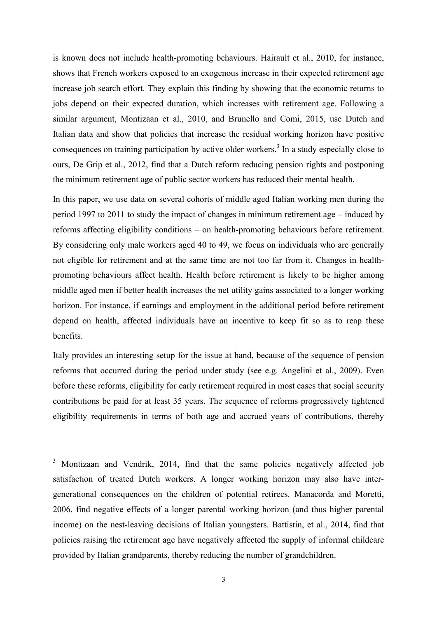is known does not include health-promoting behaviours. Hairault et al., 2010, for instance, shows that French workers exposed to an exogenous increase in their expected retirement age increase job search effort. They explain this finding by showing that the economic returns to jobs depend on their expected duration, which increases with retirement age. Following a similar argument, Montizaan et al., 2010, and Brunello and Comi, 2015, use Dutch and Italian data and show that policies that increase the residual working horizon have positive consequences on training participation by active older workers.<sup>3</sup> In a study especially close to ours, De Grip et al., 2012, find that a Dutch reform reducing pension rights and postponing the minimum retirement age of public sector workers has reduced their mental health.

In this paper, we use data on several cohorts of middle aged Italian working men during the period 1997 to 2011 to study the impact of changes in minimum retirement age – induced by reforms affecting eligibility conditions – on health-promoting behaviours before retirement. By considering only male workers aged 40 to 49, we focus on individuals who are generally not eligible for retirement and at the same time are not too far from it. Changes in healthpromoting behaviours affect health. Health before retirement is likely to be higher among middle aged men if better health increases the net utility gains associated to a longer working horizon. For instance, if earnings and employment in the additional period before retirement depend on health, affected individuals have an incentive to keep fit so as to reap these benefits.

Italy provides an interesting setup for the issue at hand, because of the sequence of pension reforms that occurred during the period under study (see e.g. Angelini et al., 2009). Even before these reforms, eligibility for early retirement required in most cases that social security contributions be paid for at least 35 years. The sequence of reforms progressively tightened eligibility requirements in terms of both age and accrued years of contributions, thereby

<sup>&</sup>lt;sup>3</sup> Montizaan and Vendrik, 2014, find that the same policies negatively affected job satisfaction of treated Dutch workers. A longer working horizon may also have intergenerational consequences on the children of potential retirees. Manacorda and Moretti, 2006, find negative effects of a longer parental working horizon (and thus higher parental income) on the nest-leaving decisions of Italian youngsters. Battistin, et al., 2014, find that policies raising the retirement age have negatively affected the supply of informal childcare provided by Italian grandparents, thereby reducing the number of grandchildren.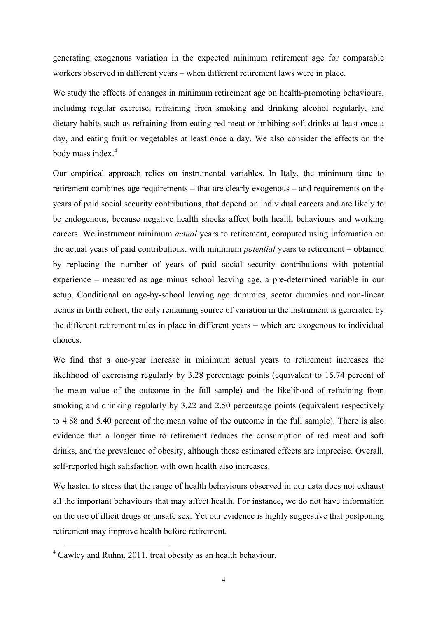generating exogenous variation in the expected minimum retirement age for comparable workers observed in different years – when different retirement laws were in place.

We study the effects of changes in minimum retirement age on health-promoting behaviours, including regular exercise, refraining from smoking and drinking alcohol regularly, and dietary habits such as refraining from eating red meat or imbibing soft drinks at least once a day, and eating fruit or vegetables at least once a day. We also consider the effects on the body mass index.<sup>4</sup>

Our empirical approach relies on instrumental variables. In Italy, the minimum time to retirement combines age requirements – that are clearly exogenous – and requirements on the years of paid social security contributions, that depend on individual careers and are likely to be endogenous, because negative health shocks affect both health behaviours and working careers. We instrument minimum *actual* years to retirement, computed using information on the actual years of paid contributions, with minimum *potential* years to retirement – obtained by replacing the number of years of paid social security contributions with potential experience – measured as age minus school leaving age, a pre-determined variable in our setup. Conditional on age-by-school leaving age dummies, sector dummies and non-linear trends in birth cohort, the only remaining source of variation in the instrument is generated by the different retirement rules in place in different years – which are exogenous to individual choices.

We find that a one-year increase in minimum actual years to retirement increases the likelihood of exercising regularly by 3.28 percentage points (equivalent to 15.74 percent of the mean value of the outcome in the full sample) and the likelihood of refraining from smoking and drinking regularly by 3.22 and 2.50 percentage points (equivalent respectively to 4.88 and 5.40 percent of the mean value of the outcome in the full sample). There is also evidence that a longer time to retirement reduces the consumption of red meat and soft drinks, and the prevalence of obesity, although these estimated effects are imprecise. Overall, self-reported high satisfaction with own health also increases.

We hasten to stress that the range of health behaviours observed in our data does not exhaust all the important behaviours that may affect health. For instance, we do not have information on the use of illicit drugs or unsafe sex. Yet our evidence is highly suggestive that postponing retirement may improve health before retirement.

<sup>&</sup>lt;sup>4</sup> Cawley and Ruhm, 2011, treat obesity as an health behaviour.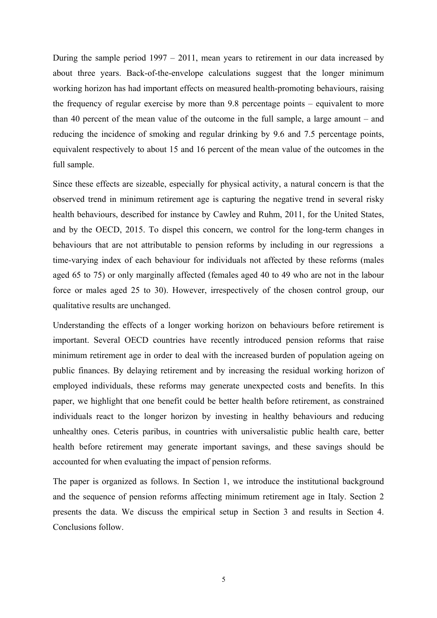During the sample period 1997 – 2011, mean years to retirement in our data increased by about three years. Back-of-the-envelope calculations suggest that the longer minimum working horizon has had important effects on measured health-promoting behaviours, raising the frequency of regular exercise by more than 9.8 percentage points – equivalent to more than 40 percent of the mean value of the outcome in the full sample, a large amount – and reducing the incidence of smoking and regular drinking by 9.6 and 7.5 percentage points, equivalent respectively to about 15 and 16 percent of the mean value of the outcomes in the full sample.

Since these effects are sizeable, especially for physical activity, a natural concern is that the observed trend in minimum retirement age is capturing the negative trend in several risky health behaviours, described for instance by Cawley and Ruhm, 2011, for the United States, and by the OECD, 2015. To dispel this concern, we control for the long-term changes in behaviours that are not attributable to pension reforms by including in our regressions a time-varying index of each behaviour for individuals not affected by these reforms (males aged 65 to 75) or only marginally affected (females aged 40 to 49 who are not in the labour force or males aged 25 to 30). However, irrespectively of the chosen control group, our qualitative results are unchanged.

Understanding the effects of a longer working horizon on behaviours before retirement is important. Several OECD countries have recently introduced pension reforms that raise minimum retirement age in order to deal with the increased burden of population ageing on public finances. By delaying retirement and by increasing the residual working horizon of employed individuals, these reforms may generate unexpected costs and benefits. In this paper, we highlight that one benefit could be better health before retirement, as constrained individuals react to the longer horizon by investing in healthy behaviours and reducing unhealthy ones. Ceteris paribus, in countries with universalistic public health care, better health before retirement may generate important savings, and these savings should be accounted for when evaluating the impact of pension reforms.

The paper is organized as follows. In Section 1, we introduce the institutional background and the sequence of pension reforms affecting minimum retirement age in Italy. Section 2 presents the data. We discuss the empirical setup in Section 3 and results in Section 4. Conclusions follow.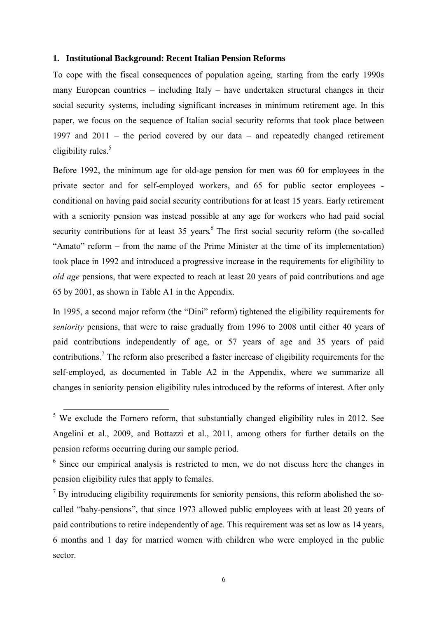#### **1. Institutional Background: Recent Italian Pension Reforms**

To cope with the fiscal consequences of population ageing, starting from the early 1990s many European countries – including Italy – have undertaken structural changes in their social security systems, including significant increases in minimum retirement age. In this paper, we focus on the sequence of Italian social security reforms that took place between 1997 and 2011 – the period covered by our data – and repeatedly changed retirement eligibility rules. $5$ 

Before 1992, the minimum age for old-age pension for men was 60 for employees in the private sector and for self-employed workers, and 65 for public sector employees conditional on having paid social security contributions for at least 15 years. Early retirement with a seniority pension was instead possible at any age for workers who had paid social security contributions for at least 35 years.<sup>6</sup> The first social security reform (the so-called "Amato" reform – from the name of the Prime Minister at the time of its implementation) took place in 1992 and introduced a progressive increase in the requirements for eligibility to *old age* pensions, that were expected to reach at least 20 years of paid contributions and age 65 by 2001, as shown in Table A1 in the Appendix.

In 1995, a second major reform (the "Dini" reform) tightened the eligibility requirements for *seniority* pensions, that were to raise gradually from 1996 to 2008 until either 40 years of paid contributions independently of age, or 57 years of age and 35 years of paid contributions.<sup>7</sup> The reform also prescribed a faster increase of eligibility requirements for the self-employed, as documented in Table A2 in the Appendix, where we summarize all changes in seniority pension eligibility rules introduced by the reforms of interest. After only

<sup>&</sup>lt;sup>5</sup> We exclude the Fornero reform, that substantially changed eligibility rules in 2012. See Angelini et al., 2009, and Bottazzi et al., 2011, among others for further details on the pension reforms occurring during our sample period.

<sup>&</sup>lt;sup>6</sup> Since our empirical analysis is restricted to men, we do not discuss here the changes in pension eligibility rules that apply to females.

 $<sup>7</sup>$  By introducing eligibility requirements for seniority pensions, this reform abolished the so-</sup> called "baby-pensions", that since 1973 allowed public employees with at least 20 years of paid contributions to retire independently of age. This requirement was set as low as 14 years, 6 months and 1 day for married women with children who were employed in the public sector.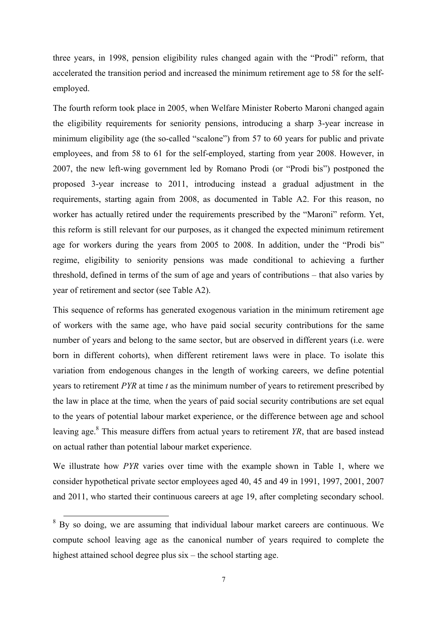three years, in 1998, pension eligibility rules changed again with the "Prodi" reform, that accelerated the transition period and increased the minimum retirement age to 58 for the selfemployed.

The fourth reform took place in 2005, when Welfare Minister Roberto Maroni changed again the eligibility requirements for seniority pensions, introducing a sharp 3-year increase in minimum eligibility age (the so-called "scalone") from 57 to 60 years for public and private employees, and from 58 to 61 for the self-employed, starting from year 2008. However, in 2007, the new left-wing government led by Romano Prodi (or "Prodi bis") postponed the proposed 3-year increase to 2011, introducing instead a gradual adjustment in the requirements, starting again from 2008, as documented in Table A2. For this reason, no worker has actually retired under the requirements prescribed by the "Maroni" reform. Yet, this reform is still relevant for our purposes, as it changed the expected minimum retirement age for workers during the years from 2005 to 2008. In addition, under the "Prodi bis" regime, eligibility to seniority pensions was made conditional to achieving a further threshold, defined in terms of the sum of age and years of contributions – that also varies by year of retirement and sector (see Table A2).

This sequence of reforms has generated exogenous variation in the minimum retirement age of workers with the same age, who have paid social security contributions for the same number of years and belong to the same sector, but are observed in different years (i.e. were born in different cohorts), when different retirement laws were in place. To isolate this variation from endogenous changes in the length of working careers, we define potential years to retirement *PYR* at time *t* as the minimum number of years to retirement prescribed by the law in place at the time*,* when the years of paid social security contributions are set equal to the years of potential labour market experience, or the difference between age and school leaving age.<sup>8</sup> This measure differs from actual years to retirement *YR*, that are based instead on actual rather than potential labour market experience.

We illustrate how *PYR* varies over time with the example shown in Table 1, where we consider hypothetical private sector employees aged 40, 45 and 49 in 1991, 1997, 2001, 2007 and 2011, who started their continuous careers at age 19, after completing secondary school.

<sup>&</sup>lt;sup>8</sup> By so doing, we are assuming that individual labour market careers are continuous. We compute school leaving age as the canonical number of years required to complete the highest attained school degree plus six – the school starting age.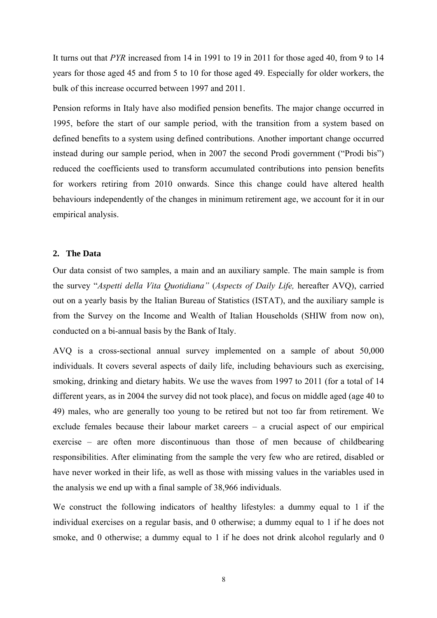It turns out that *PYR* increased from 14 in 1991 to 19 in 2011 for those aged 40, from 9 to 14 years for those aged 45 and from 5 to 10 for those aged 49. Especially for older workers, the bulk of this increase occurred between 1997 and 2011.

Pension reforms in Italy have also modified pension benefits. The major change occurred in 1995, before the start of our sample period, with the transition from a system based on defined benefits to a system using defined contributions. Another important change occurred instead during our sample period, when in 2007 the second Prodi government ("Prodi bis") reduced the coefficients used to transform accumulated contributions into pension benefits for workers retiring from 2010 onwards. Since this change could have altered health behaviours independently of the changes in minimum retirement age, we account for it in our empirical analysis.

#### **2. The Data**

Our data consist of two samples, a main and an auxiliary sample. The main sample is from the survey "*Aspetti della Vita Quotidiana"* (*Aspects of Daily Life,* hereafter AVQ), carried out on a yearly basis by the Italian Bureau of Statistics (ISTAT), and the auxiliary sample is from the Survey on the Income and Wealth of Italian Households (SHIW from now on), conducted on a bi-annual basis by the Bank of Italy.

AVQ is a cross-sectional annual survey implemented on a sample of about 50,000 individuals. It covers several aspects of daily life, including behaviours such as exercising, smoking, drinking and dietary habits. We use the waves from 1997 to 2011 (for a total of 14 different years, as in 2004 the survey did not took place), and focus on middle aged (age 40 to 49) males, who are generally too young to be retired but not too far from retirement. We exclude females because their labour market careers – a crucial aspect of our empirical exercise – are often more discontinuous than those of men because of childbearing responsibilities. After eliminating from the sample the very few who are retired, disabled or have never worked in their life, as well as those with missing values in the variables used in the analysis we end up with a final sample of 38,966 individuals.

We construct the following indicators of healthy lifestyles: a dummy equal to 1 if the individual exercises on a regular basis, and 0 otherwise; a dummy equal to 1 if he does not smoke, and 0 otherwise; a dummy equal to 1 if he does not drink alcohol regularly and 0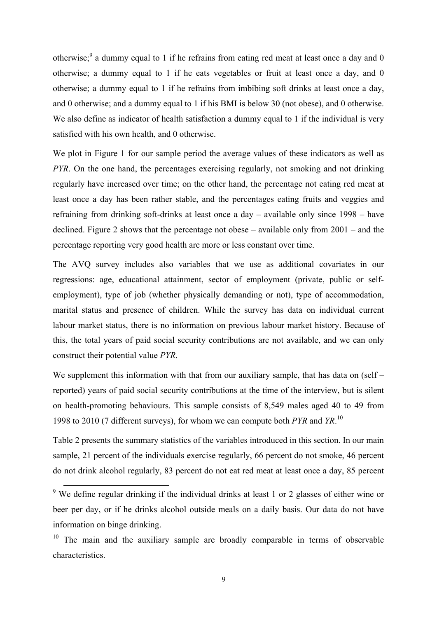otherwise;  $9$  a dummy equal to 1 if he refrains from eating red meat at least once a day and 0 otherwise; a dummy equal to 1 if he eats vegetables or fruit at least once a day, and 0 otherwise; a dummy equal to 1 if he refrains from imbibing soft drinks at least once a day, and 0 otherwise; and a dummy equal to 1 if his BMI is below 30 (not obese), and 0 otherwise. We also define as indicator of health satisfaction a dummy equal to 1 if the individual is very satisfied with his own health, and 0 otherwise.

We plot in Figure 1 for our sample period the average values of these indicators as well as *PYR*. On the one hand, the percentages exercising regularly, not smoking and not drinking regularly have increased over time; on the other hand, the percentage not eating red meat at least once a day has been rather stable, and the percentages eating fruits and veggies and refraining from drinking soft-drinks at least once a day – available only since 1998 – have declined. Figure 2 shows that the percentage not obese – available only from 2001 – and the percentage reporting very good health are more or less constant over time.

The AVQ survey includes also variables that we use as additional covariates in our regressions: age, educational attainment, sector of employment (private, public or selfemployment), type of job (whether physically demanding or not), type of accommodation, marital status and presence of children. While the survey has data on individual current labour market status, there is no information on previous labour market history. Because of this, the total years of paid social security contributions are not available, and we can only construct their potential value *PYR*.

We supplement this information with that from our auxiliary sample, that has data on (self – reported) years of paid social security contributions at the time of the interview, but is silent on health-promoting behaviours. This sample consists of 8,549 males aged 40 to 49 from 1998 to 2010 (7 different surveys), for whom we can compute both *PYR* and *YR*. 10

Table 2 presents the summary statistics of the variables introduced in this section. In our main sample, 21 percent of the individuals exercise regularly, 66 percent do not smoke, 46 percent do not drink alcohol regularly, 83 percent do not eat red meat at least once a day, 85 percent

<sup>&</sup>lt;sup>9</sup> We define regular drinking if the individual drinks at least 1 or 2 glasses of either wine or beer per day, or if he drinks alcohol outside meals on a daily basis. Our data do not have information on binge drinking.

<sup>&</sup>lt;sup>10</sup> The main and the auxiliary sample are broadly comparable in terms of observable characteristics.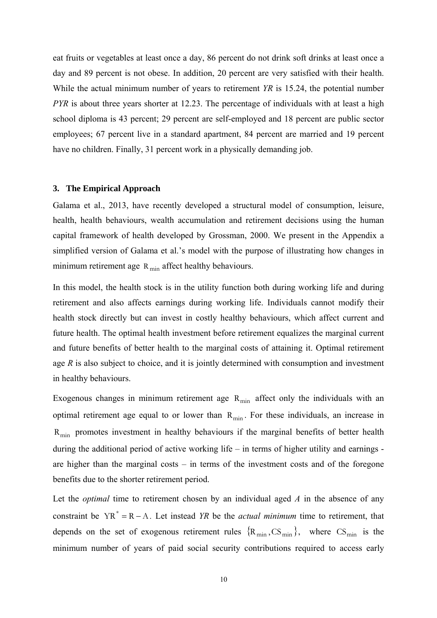eat fruits or vegetables at least once a day, 86 percent do not drink soft drinks at least once a day and 89 percent is not obese. In addition, 20 percent are very satisfied with their health. While the actual minimum number of years to retirement *YR* is 15.24, the potential number *PYR* is about three years shorter at 12.23. The percentage of individuals with at least a high school diploma is 43 percent; 29 percent are self-employed and 18 percent are public sector employees; 67 percent live in a standard apartment, 84 percent are married and 19 percent have no children. Finally, 31 percent work in a physically demanding job.

#### **3. The Empirical Approach**

Galama et al., 2013, have recently developed a structural model of consumption, leisure, health, health behaviours, wealth accumulation and retirement decisions using the human capital framework of health developed by Grossman, 2000. We present in the Appendix a simplified version of Galama et al.'s model with the purpose of illustrating how changes in minimum retirement age  $R_{\text{min}}$  affect healthy behaviours.

In this model, the health stock is in the utility function both during working life and during retirement and also affects earnings during working life. Individuals cannot modify their health stock directly but can invest in costly healthy behaviours, which affect current and future health. The optimal health investment before retirement equalizes the marginal current and future benefits of better health to the marginal costs of attaining it. Optimal retirement age *R* is also subject to choice, and it is jointly determined with consumption and investment in healthy behaviours.

Exogenous changes in minimum retirement age  $R_{\text{min}}$  affect only the individuals with an optimal retirement age equal to or lower than  $R_{min}$ . For these individuals, an increase in  $R_{\text{min}}$  promotes investment in healthy behaviours if the marginal benefits of better health during the additional period of active working life – in terms of higher utility and earnings are higher than the marginal costs – in terms of the investment costs and of the foregone benefits due to the shorter retirement period.

Let the *optimal* time to retirement chosen by an individual aged *A* in the absence of any constraint be  $YR^* = R - A$ . Let instead *YR* be the *actual minimum* time to retirement, that depends on the set of exogenous retirement rules  $\{R_{min}, CS_{min}\}\$ , where  $CS_{min}$  is the minimum number of years of paid social security contributions required to access early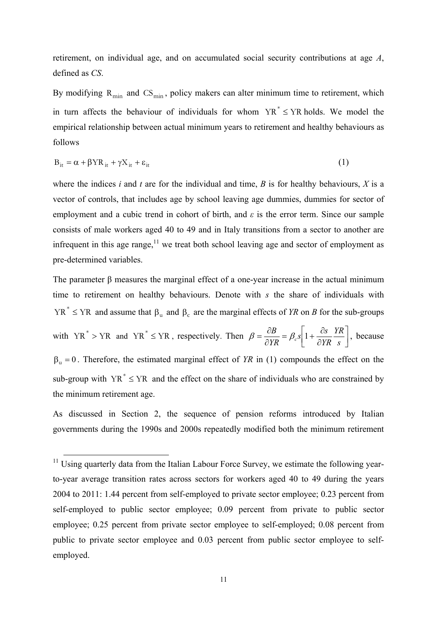retirement, on individual age, and on accumulated social security contributions at age *A*, defined as *CS*.

By modifying  $R_{min}$  and  $CS_{min}$ , policy makers can alter minimum time to retirement, which in turn affects the behaviour of individuals for whom  $YR^* \le YR$  holds. We model the empirical relationship between actual minimum years to retirement and healthy behaviours as follows

$$
B_{it} = \alpha + \beta Y R_{it} + \gamma X_{it} + \varepsilon_{it}
$$
 (1)

where the indices *i* and *t* are for the individual and time, *B* is for healthy behaviours, *X* is a vector of controls, that includes age by school leaving age dummies, dummies for sector of employment and a cubic trend in cohort of birth, and *ε* is the error term. Since our sample consists of male workers aged 40 to 49 and in Italy transitions from a sector to another are infrequent in this age range, $11$  we treat both school leaving age and sector of employment as pre-determined variables.

The parameter β measures the marginal effect of a one-year increase in the actual minimum time to retirement on healthy behaviours. Denote with *s* the share of individuals with  $YR^* \leq YR$  and assume that  $\beta_u$  and  $\beta_c$  are the marginal effects of *YR* on *B* for the sub-groups with YR<sup>\*</sup> > YR and YR<sup>\*</sup>  $\leq$  YR, respectively. Then  $\beta = \frac{\partial B}{\partial YR} = \beta_c s \left[ 1 + \frac{\partial s}{\partial YR} \frac{YR}{s} \right]$  $\mathsf{I}$  $\hat{c}$  $=\beta_c s\left[1+\frac{\hat{c}}{2}\right]$  $=\frac{\partial B}{\partial YR} = \beta_c s \left[1 + \frac{\partial s}{\partial YR} \frac{YR}{s}\right]$ *YR*  $s\left[1+\frac{\partial s}{\partial s}\right]$ *YR*  $\beta = \frac{\partial B}{\partial y \cdot R} = \beta_c s \left[ 1 + \frac{\partial s}{\partial y \cdot R} \right]$ , because  $\beta_u = 0$ . Therefore, the estimated marginal effect of *YR* in (1) compounds the effect on the sub-group with  $YR^* \leq YR$  and the effect on the share of individuals who are constrained by the minimum retirement age.

As discussed in Section 2, the sequence of pension reforms introduced by Italian governments during the 1990s and 2000s repeatedly modified both the minimum retirement

 $11$  Using quarterly data from the Italian Labour Force Survey, we estimate the following yearto-year average transition rates across sectors for workers aged 40 to 49 during the years 2004 to 2011: 1.44 percent from self-employed to private sector employee; 0.23 percent from self-employed to public sector employee; 0.09 percent from private to public sector employee; 0.25 percent from private sector employee to self-employed; 0.08 percent from public to private sector employee and 0.03 percent from public sector employee to selfemployed.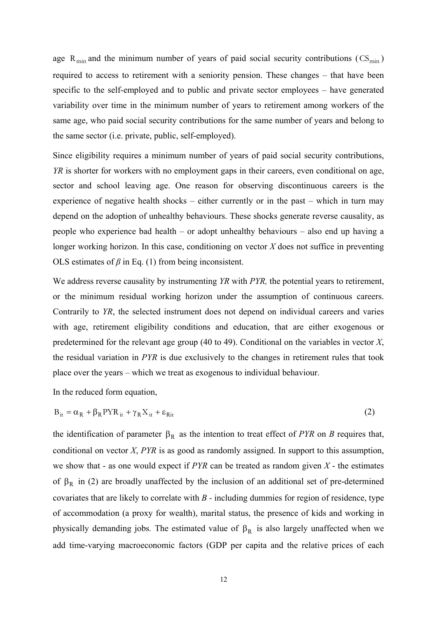age  $R_{min}$  and the minimum number of years of paid social security contributions ( $CS_{min}$ ) required to access to retirement with a seniority pension. These changes – that have been specific to the self-employed and to public and private sector employees – have generated variability over time in the minimum number of years to retirement among workers of the same age, who paid social security contributions for the same number of years and belong to the same sector (i.e. private, public, self-employed).

Since eligibility requires a minimum number of years of paid social security contributions, *YR* is shorter for workers with no employment gaps in their careers, even conditional on age, sector and school leaving age. One reason for observing discontinuous careers is the experience of negative health shocks – either currently or in the past – which in turn may depend on the adoption of unhealthy behaviours. These shocks generate reverse causality, as people who experience bad health – or adopt unhealthy behaviours – also end up having a longer working horizon. In this case, conditioning on vector *X* does not suffice in preventing OLS estimates of  $\beta$  in Eq. (1) from being inconsistent.

We address reverse causality by instrumenting *YR* with *PYR,* the potential years to retirement, or the minimum residual working horizon under the assumption of continuous careers. Contrarily to *YR*, the selected instrument does not depend on individual careers and varies with age, retirement eligibility conditions and education, that are either exogenous or predetermined for the relevant age group (40 to 49). Conditional on the variables in vector *X*, the residual variation in *PYR* is due exclusively to the changes in retirement rules that took place over the years – which we treat as exogenous to individual behaviour.

In the reduced form equation,

$$
B_{it} = \alpha_R + \beta_R P Y R_{it} + \gamma_R X_{it} + \varepsilon_{Rit}
$$
 (2)

the identification of parameter  $\beta_R$  as the intention to treat effect of *PYR* on *B* requires that, conditional on vector *X*, *PYR* is as good as randomly assigned. In support to this assumption, we show that - as one would expect if *PYR* can be treated as random given *X* - the estimates of  $\beta_R$  in (2) are broadly unaffected by the inclusion of an additional set of pre-determined covariates that are likely to correlate with *B -* including dummies for region of residence, type of accommodation (a proxy for wealth), marital status, the presence of kids and working in physically demanding jobs. The estimated value of  $\beta_R$  is also largely unaffected when we add time-varying macroeconomic factors (GDP per capita and the relative prices of each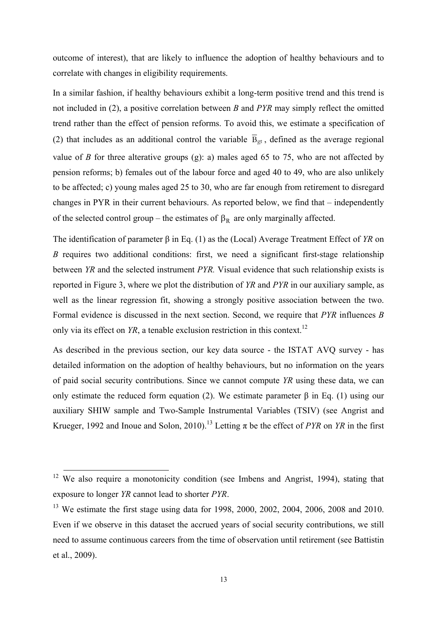outcome of interest), that are likely to influence the adoption of healthy behaviours and to correlate with changes in eligibility requirements.

In a similar fashion, if healthy behaviours exhibit a long-term positive trend and this trend is not included in (2), a positive correlation between *B* and *PYR* may simply reflect the omitted trend rather than the effect of pension reforms. To avoid this, we estimate a specification of (2) that includes as an additional control the variable  $\bar{B}_{gt}$ , defined as the average regional value of *B* for three alterative groups (g): a) males aged 65 to 75, who are not affected by pension reforms; b) females out of the labour force and aged 40 to 49, who are also unlikely to be affected; c) young males aged 25 to 30, who are far enough from retirement to disregard changes in PYR in their current behaviours. As reported below, we find that – independently of the selected control group – the estimates of  $\beta_R$  are only marginally affected.

The identification of parameter β in Eq. (1) as the (Local) Average Treatment Effect of *YR* on *B* requires two additional conditions: first, we need a significant first-stage relationship between *YR* and the selected instrument *PYR.* Visual evidence that such relationship exists is reported in Figure 3, where we plot the distribution of *YR* and *PYR* in our auxiliary sample, as well as the linear regression fit, showing a strongly positive association between the two. Formal evidence is discussed in the next section. Second, we require that *PYR* influences *B* only via its effect on *YR*, a tenable exclusion restriction in this context.<sup>12</sup>

As described in the previous section, our key data source - the ISTAT AVQ survey - has detailed information on the adoption of healthy behaviours, but no information on the years of paid social security contributions. Since we cannot compute *YR* using these data, we can only estimate the reduced form equation (2). We estimate parameter β in Eq. (1) using our auxiliary SHIW sample and Two-Sample Instrumental Variables (TSIV) (see Angrist and Krueger, 1992 and Inoue and Solon, 2010).<sup>13</sup> Letting  $\pi$  be the effect of *PYR* on *YR* in the first

 $12$  We also require a monotonicity condition (see Imbens and Angrist, 1994), stating that exposure to longer *YR* cannot lead to shorter *PYR*.

<sup>&</sup>lt;sup>13</sup> We estimate the first stage using data for 1998, 2000, 2002, 2004, 2006, 2008 and 2010. Even if we observe in this dataset the accrued years of social security contributions, we still need to assume continuous careers from the time of observation until retirement (see Battistin et al., 2009).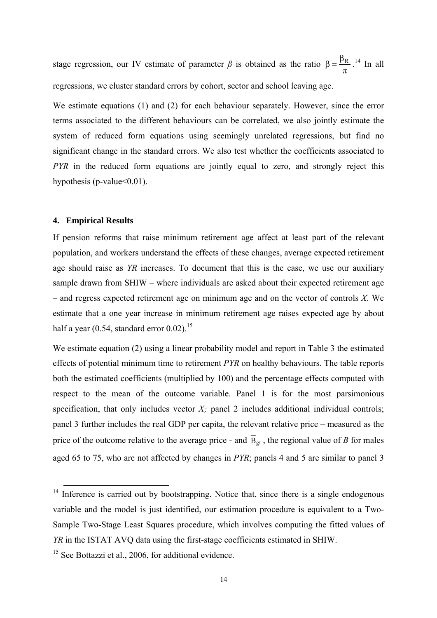stage regression, our IV estimate of parameter  $\beta$  is obtained as the ratio  $\pi$  $\beta = \frac{\beta_R}{\beta}$ .<sup>14</sup> In all regressions, we cluster standard errors by cohort, sector and school leaving age.

We estimate equations (1) and (2) for each behaviour separately. However, since the error terms associated to the different behaviours can be correlated, we also jointly estimate the system of reduced form equations using seemingly unrelated regressions, but find no significant change in the standard errors. We also test whether the coefficients associated to *PYR* in the reduced form equations are jointly equal to zero, and strongly reject this hypothesis (p-value  $<0.01$ ).

#### **4. Empirical Results**

If pension reforms that raise minimum retirement age affect at least part of the relevant population, and workers understand the effects of these changes, average expected retirement age should raise as *YR* increases. To document that this is the case, we use our auxiliary sample drawn from SHIW – where individuals are asked about their expected retirement age – and regress expected retirement age on minimum age and on the vector of controls *X*. We estimate that a one year increase in minimum retirement age raises expected age by about half a year  $(0.54, \text{standard error } 0.02)$ .<sup>15</sup>

We estimate equation (2) using a linear probability model and report in Table 3 the estimated effects of potential minimum time to retirement *PYR* on healthy behaviours. The table reports both the estimated coefficients (multiplied by 100) and the percentage effects computed with respect to the mean of the outcome variable. Panel 1 is for the most parsimonious specification, that only includes vector  $X$ ; panel 2 includes additional individual controls; panel 3 further includes the real GDP per capita, the relevant relative price – measured as the price of the outcome relative to the average price - and  $\overline{B}_{gt}$ , the regional value of *B* for males aged 65 to 75, who are not affected by changes in *PYR*; panels 4 and 5 are similar to panel 3

<sup>&</sup>lt;sup>14</sup> Inference is carried out by bootstrapping. Notice that, since there is a single endogenous variable and the model is just identified, our estimation procedure is equivalent to a Two-Sample Two-Stage Least Squares procedure, which involves computing the fitted values of *YR* in the ISTAT AVQ data using the first-stage coefficients estimated in SHIW.

<sup>&</sup>lt;sup>15</sup> See Bottazzi et al., 2006, for additional evidence.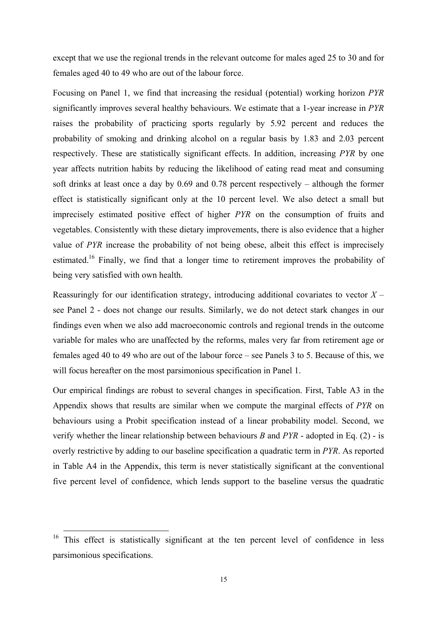except that we use the regional trends in the relevant outcome for males aged 25 to 30 and for females aged 40 to 49 who are out of the labour force.

Focusing on Panel 1, we find that increasing the residual (potential) working horizon *PYR* significantly improves several healthy behaviours. We estimate that a 1-year increase in *PYR* raises the probability of practicing sports regularly by 5.92 percent and reduces the probability of smoking and drinking alcohol on a regular basis by 1.83 and 2.03 percent respectively. These are statistically significant effects. In addition, increasing *PYR* by one year affects nutrition habits by reducing the likelihood of eating read meat and consuming soft drinks at least once a day by 0.69 and 0.78 percent respectively – although the former effect is statistically significant only at the 10 percent level. We also detect a small but imprecisely estimated positive effect of higher *PYR* on the consumption of fruits and vegetables. Consistently with these dietary improvements, there is also evidence that a higher value of *PYR* increase the probability of not being obese, albeit this effect is imprecisely estimated.<sup>16</sup> Finally, we find that a longer time to retirement improves the probability of being very satisfied with own health.

Reassuringly for our identification strategy, introducing additional covariates to vector  $X$ see Panel 2 - does not change our results. Similarly, we do not detect stark changes in our findings even when we also add macroeconomic controls and regional trends in the outcome variable for males who are unaffected by the reforms, males very far from retirement age or females aged 40 to 49 who are out of the labour force – see Panels 3 to 5. Because of this, we will focus hereafter on the most parsimonious specification in Panel 1.

Our empirical findings are robust to several changes in specification. First, Table A3 in the Appendix shows that results are similar when we compute the marginal effects of *PYR* on behaviours using a Probit specification instead of a linear probability model. Second, we verify whether the linear relationship between behaviours *B* and *PYR* - adopted in Eq. (2) - is overly restrictive by adding to our baseline specification a quadratic term in *PYR*. As reported in Table A4 in the Appendix, this term is never statistically significant at the conventional five percent level of confidence, which lends support to the baseline versus the quadratic

<sup>&</sup>lt;sup>16</sup> This effect is statistically significant at the ten percent level of confidence in less parsimonious specifications.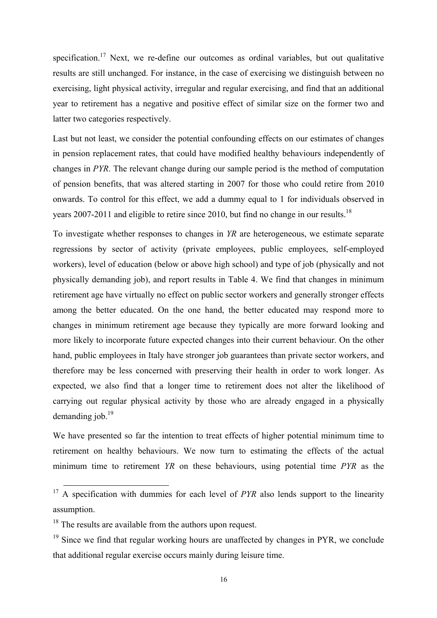specification.<sup>17</sup> Next, we re-define our outcomes as ordinal variables, but out qualitative results are still unchanged. For instance, in the case of exercising we distinguish between no exercising, light physical activity, irregular and regular exercising, and find that an additional year to retirement has a negative and positive effect of similar size on the former two and latter two categories respectively.

Last but not least, we consider the potential confounding effects on our estimates of changes in pension replacement rates, that could have modified healthy behaviours independently of changes in *PYR*. The relevant change during our sample period is the method of computation of pension benefits, that was altered starting in 2007 for those who could retire from 2010 onwards. To control for this effect, we add a dummy equal to 1 for individuals observed in years 2007-2011 and eligible to retire since 2010, but find no change in our results.<sup>18</sup>

To investigate whether responses to changes in *YR* are heterogeneous, we estimate separate regressions by sector of activity (private employees, public employees, self-employed workers), level of education (below or above high school) and type of job (physically and not physically demanding job), and report results in Table 4. We find that changes in minimum retirement age have virtually no effect on public sector workers and generally stronger effects among the better educated. On the one hand, the better educated may respond more to changes in minimum retirement age because they typically are more forward looking and more likely to incorporate future expected changes into their current behaviour. On the other hand, public employees in Italy have stronger job guarantees than private sector workers, and therefore may be less concerned with preserving their health in order to work longer. As expected, we also find that a longer time to retirement does not alter the likelihood of carrying out regular physical activity by those who are already engaged in a physically demanding  $i$ ob.<sup>19</sup>

We have presented so far the intention to treat effects of higher potential minimum time to retirement on healthy behaviours. We now turn to estimating the effects of the actual minimum time to retirement *YR* on these behaviours, using potential time *PYR* as the

<sup>&</sup>lt;sup>17</sup> A specification with dummies for each level of *PYR* also lends support to the linearity assumption.

<sup>&</sup>lt;sup>18</sup> The results are available from the authors upon request.

 $19$  Since we find that regular working hours are unaffected by changes in PYR, we conclude that additional regular exercise occurs mainly during leisure time.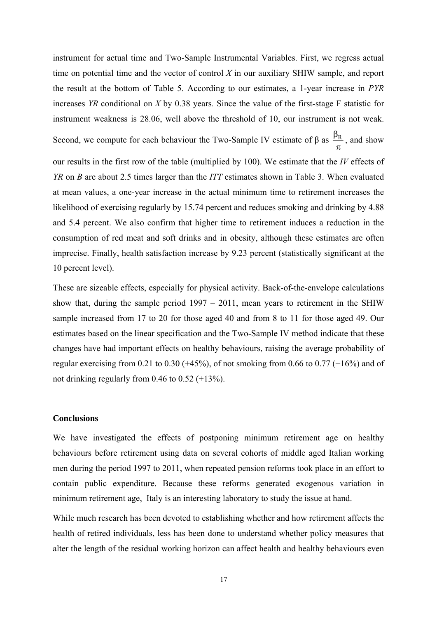instrument for actual time and Two-Sample Instrumental Variables. First, we regress actual time on potential time and the vector of control *X* in our auxiliary SHIW sample, and report the result at the bottom of Table 5. According to our estimates, a 1-year increase in *PYR* increases *YR* conditional on *X* by 0.38 years*.* Since the value of the first-stage F statistic for instrument weakness is 28.06, well above the threshold of 10, our instrument is not weak. Second, we compute for each behaviour the Two-Sample IV estimate of  $\beta$  as  $\pi$  $\frac{\beta_R}{\beta}$ , and show our results in the first row of the table (multiplied by 100). We estimate that the *IV* effects of *YR* on *B* are about 2.5 times larger than the *ITT* estimates shown in Table 3. When evaluated at mean values, a one-year increase in the actual minimum time to retirement increases the likelihood of exercising regularly by 15.74 percent and reduces smoking and drinking by 4.88 and 5.4 percent. We also confirm that higher time to retirement induces a reduction in the consumption of red meat and soft drinks and in obesity, although these estimates are often imprecise. Finally, health satisfaction increase by 9.23 percent (statistically significant at the 10 percent level).

These are sizeable effects, especially for physical activity. Back-of-the-envelope calculations show that, during the sample period 1997 – 2011, mean years to retirement in the SHIW sample increased from 17 to 20 for those aged 40 and from 8 to 11 for those aged 49. Our estimates based on the linear specification and the Two-Sample IV method indicate that these changes have had important effects on healthy behaviours, raising the average probability of regular exercising from 0.21 to 0.30 ( $+45\%$ ), of not smoking from 0.66 to 0.77 ( $+16\%$ ) and of not drinking regularly from 0.46 to 0.52 (+13%).

#### **Conclusions**

We have investigated the effects of postponing minimum retirement age on healthy behaviours before retirement using data on several cohorts of middle aged Italian working men during the period 1997 to 2011, when repeated pension reforms took place in an effort to contain public expenditure. Because these reforms generated exogenous variation in minimum retirement age, Italy is an interesting laboratory to study the issue at hand.

While much research has been devoted to establishing whether and how retirement affects the health of retired individuals, less has been done to understand whether policy measures that alter the length of the residual working horizon can affect health and healthy behaviours even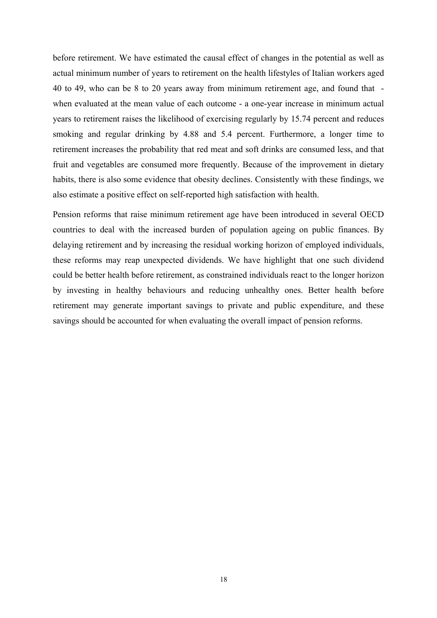before retirement. We have estimated the causal effect of changes in the potential as well as actual minimum number of years to retirement on the health lifestyles of Italian workers aged 40 to 49, who can be 8 to 20 years away from minimum retirement age, and found that when evaluated at the mean value of each outcome - a one-year increase in minimum actual years to retirement raises the likelihood of exercising regularly by 15.74 percent and reduces smoking and regular drinking by 4.88 and 5.4 percent. Furthermore, a longer time to retirement increases the probability that red meat and soft drinks are consumed less, and that fruit and vegetables are consumed more frequently. Because of the improvement in dietary habits, there is also some evidence that obesity declines. Consistently with these findings, we also estimate a positive effect on self-reported high satisfaction with health.

Pension reforms that raise minimum retirement age have been introduced in several OECD countries to deal with the increased burden of population ageing on public finances. By delaying retirement and by increasing the residual working horizon of employed individuals, these reforms may reap unexpected dividends. We have highlight that one such dividend could be better health before retirement, as constrained individuals react to the longer horizon by investing in healthy behaviours and reducing unhealthy ones. Better health before retirement may generate important savings to private and public expenditure, and these savings should be accounted for when evaluating the overall impact of pension reforms.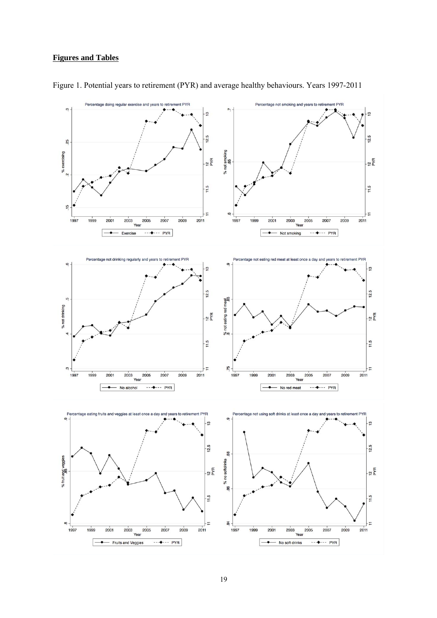#### **Figures and Tables**



Figure 1. Potential years to retirement (PYR) and average healthy behaviours. Years 1997-2011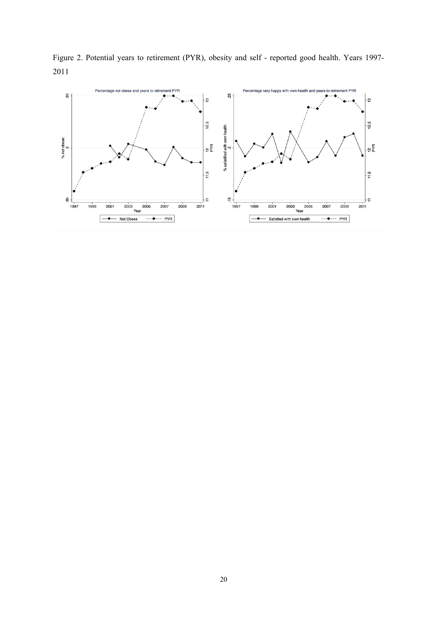

 $11.5$ 

Ŧ

 $2011$ 

 $\frac{16}{2}$ 

1997

1999

 $\overline{\phantom{a}}$ 

 $2001$ 

2003 2005

- Satisfied with own health

2007

2009

----- PYR

85

1997

1999

 $2001$ 

 $\overline{\phantom{a}}$ 

 $\frac{1}{2003}$ Year

- Not Obese

2005

2007

----- PYR

2009

 $11.5$ 

÷

 $2011$ 

Figure 2. Potential years to retirement (PYR), obesity and self - reported good health. Years 1997- 2011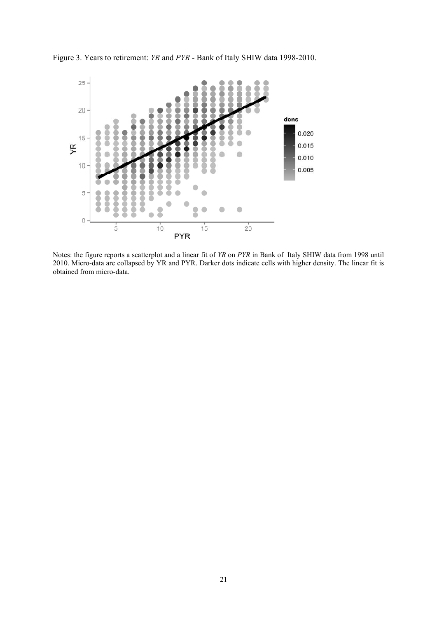

Figure 3. Years to retirement: *YR* and *PYR* - Bank of Italy SHIW data 1998-2010.

Notes: the figure reports a scatterplot and a linear fit of *YR* on *PYR* in Bank of Italy SHIW data from 1998 until 2010. Micro-data are collapsed by YR and PYR. Darker dots indicate cells with higher density. The linear fit is obtained from micro-data.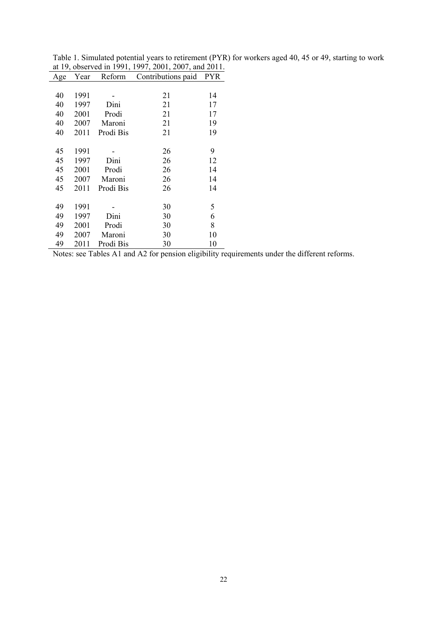| Age | Year | Reform    | Contributions paid | PYR. |
|-----|------|-----------|--------------------|------|
|     |      |           |                    |      |
| 40  | 1991 |           | 21                 | 14   |
| 40  | 1997 | Dini      | 21                 | 17   |
| 40  | 2001 | Prodi     | 21                 | 17   |
| 40  | 2007 | Maroni    | 21                 | 19   |
| 40  | 2011 | Prodi Bis | 21                 | 19   |
|     |      |           |                    |      |
| 45  | 1991 |           | 26                 | 9    |
| 45  | 1997 | Dini      | 26                 | 12   |
| 45  | 2001 | Prodi     | 26                 | 14   |
| 45  | 2007 | Maroni    | 26                 | 14   |
| 45  | 2011 | Prodi Bis | 26                 | 14   |
|     |      |           |                    |      |
| 49  | 1991 |           | 30                 | 5    |
| 49  | 1997 | Dini      | 30                 | 6    |
| 49  | 2001 | Prodi     | 30                 | 8    |
| 49  | 2007 | Maroni    | 30                 | 10   |
| 49  | 2011 | Prodi Bis | 30                 | 10   |

Table 1. Simulated potential years to retirement (PYR) for workers aged 40, 45 or 49, starting to work at 19, observed in 1991, 1997, 2001, 2007, and 2011.

Notes: see Tables A1 and A2 for pension eligibility requirements under the different reforms.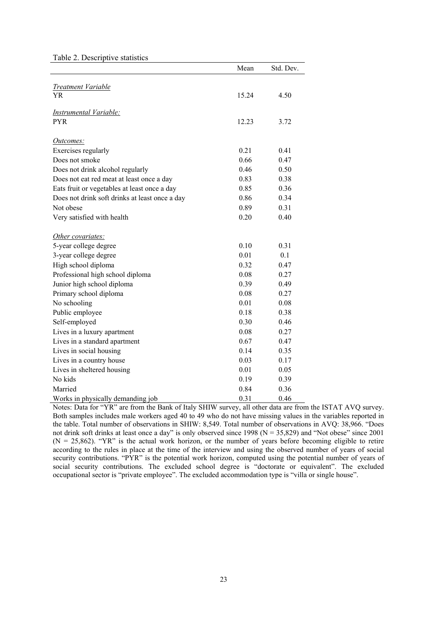#### Table 2. Descriptive statistics

|                                                | Mean  | Std. Dev. |
|------------------------------------------------|-------|-----------|
|                                                |       |           |
| <b>Treatment Variable</b><br>YR                | 15.24 | 4.50      |
|                                                |       |           |
| <b>Instrumental Variable:</b>                  |       |           |
| <b>PYR</b>                                     | 12.23 | 3.72      |
|                                                |       |           |
| Outcomes:                                      |       |           |
| Exercises regularly                            | 0.21  | 0.41      |
| Does not smoke                                 | 0.66  | 0.47      |
| Does not drink alcohol regularly               | 0.46  | 0.50      |
| Does not eat red meat at least once a day      | 0.83  | 0.38      |
| Eats fruit or vegetables at least once a day   | 0.85  | 0.36      |
| Does not drink soft drinks at least once a day | 0.86  | 0.34      |
| Not obese                                      | 0.89  | 0.31      |
| Very satisfied with health                     | 0.20  | 0.40      |
|                                                |       |           |
| Other covariates:                              |       |           |
| 5-year college degree                          | 0.10  | 0.31      |
| 3-year college degree                          | 0.01  | 0.1       |
| High school diploma                            | 0.32  | 0.47      |
| Professional high school diploma               | 0.08  | 0.27      |
| Junior high school diploma                     | 0.39  | 0.49      |
| Primary school diploma                         | 0.08  | 0.27      |
| No schooling                                   | 0.01  | 0.08      |
| Public employee                                | 0.18  | 0.38      |
| Self-employed                                  | 0.30  | 0.46      |
| Lives in a luxury apartment                    | 0.08  | 0.27      |
| Lives in a standard apartment                  | 0.67  | 0.47      |
| Lives in social housing                        | 0.14  | 0.35      |
| Lives in a country house                       | 0.03  | 0.17      |
| Lives in sheltered housing                     | 0.01  | 0.05      |
| No kids                                        | 0.19  | 0.39      |
| Married                                        | 0.84  | 0.36      |
| Works in physically demanding job              | 0.31  | 0.46      |

Notes: Data for "YR" are from the Bank of Italy SHIW survey, all other data are from the ISTAT AVQ survey. Both samples includes male workers aged 40 to 49 who do not have missing values in the variables reported in the table. Total number of observations in SHIW: 8,549. Total number of observations in AVQ: 38,966. "Does not drink soft drinks at least once a day" is only observed since 1998 (N = 35,829) and "Not obese" since 2001  $(N = 25,862)$ . "YR" is the actual work horizon, or the number of years before becoming eligible to retire according to the rules in place at the time of the interview and using the observed number of years of social security contributions. "PYR" is the potential work horizon, computed using the potential number of years of social security contributions. The excluded school degree is "doctorate or equivalent". The excluded occupational sector is "private employee". The excluded accommodation type is "villa or single house".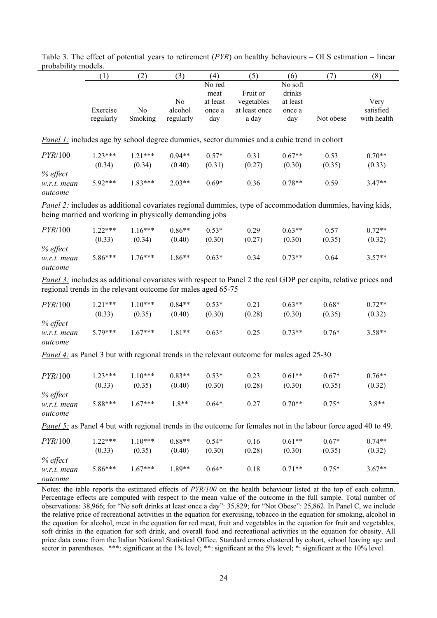|                                                              | (1)       | (2)            | (3)       | (4)      | (5)                                                                                                                     | (6)      | (7)       | (8)         |
|--------------------------------------------------------------|-----------|----------------|-----------|----------|-------------------------------------------------------------------------------------------------------------------------|----------|-----------|-------------|
|                                                              |           |                |           | No red   |                                                                                                                         | No soft  |           |             |
|                                                              |           |                |           | meat     | Fruit or                                                                                                                | drinks   |           |             |
|                                                              |           |                | No        | at least | vegetables                                                                                                              | at least |           | Very        |
|                                                              | Exercise  | N <sub>0</sub> | alcohol   | once a   | at least once                                                                                                           | once a   |           | satisfied   |
|                                                              | regularly | Smoking        | regularly | day      | a day                                                                                                                   | day      | Not obese | with health |
|                                                              |           |                |           |          |                                                                                                                         |          |           |             |
|                                                              |           |                |           |          | <i>Panel 1:</i> includes age by school degree dummies, sector dummies and a cubic trend in cohort                       |          |           |             |
| PYR/100                                                      | $1.23***$ | $1.21***$      | $0.94**$  | $0.57*$  | 0.31                                                                                                                    | $0.67**$ | 0.53      | $0.70**$    |
|                                                              | (0.34)    | (0.34)         | (0.40)    | (0.31)   | (0.27)                                                                                                                  | (0.30)   | (0.35)    | (0.33)      |
| % effect                                                     |           |                |           |          |                                                                                                                         |          |           |             |
| w.r.t. mean                                                  | $5.92***$ | $1.83***$      | $2.03**$  | $0.69*$  | 0.36                                                                                                                    | $0.78**$ | 0.59      | $3.47**$    |
| outcome                                                      |           |                |           |          |                                                                                                                         |          |           |             |
|                                                              |           |                |           |          |                                                                                                                         |          |           |             |
|                                                              |           |                |           |          | <b>Panel 2:</b> includes as additional covariates regional dummies, type of accommodation dummies, having kids,         |          |           |             |
| being married and working in physically demanding jobs       |           |                |           |          |                                                                                                                         |          |           |             |
| PYR/100                                                      | $1.22***$ | $1.16***$      | $0.86**$  | $0.53*$  | 0.29                                                                                                                    | $0.63**$ | 0.57      | $0.72**$    |
|                                                              | (0.33)    | (0.34)         | (0.40)    | (0.30)   | (0.27)                                                                                                                  | (0.30)   | (0.35)    | (0.32)      |
| % effect                                                     |           |                |           |          |                                                                                                                         |          |           |             |
| w.r.t. mean                                                  | 5.86***   | $1.76***$      | $1.86**$  | $0.63*$  | 0.34                                                                                                                    | $0.73**$ | 0.64      | $3.57**$    |
|                                                              |           |                |           |          |                                                                                                                         |          |           |             |
| outcome                                                      |           |                |           |          |                                                                                                                         |          |           |             |
|                                                              |           |                |           |          | Panel 3: includes as additional covariates with respect to Panel 2 the real GDP per capita, relative prices and         |          |           |             |
| regional trends in the relevant outcome for males aged 65-75 |           |                |           |          |                                                                                                                         |          |           |             |
|                                                              | $1.21***$ | $1.10***$      | $0.84**$  | $0.53*$  | 0.21                                                                                                                    | $0.63**$ | $0.68*$   |             |
| PYR/100                                                      |           |                |           |          |                                                                                                                         |          |           | $0.72**$    |
|                                                              | (0.33)    | (0.35)         | (0.40)    | (0.30)   | (0.28)                                                                                                                  | (0.30)   | (0.35)    | (0.32)      |
| % effect                                                     |           |                |           |          |                                                                                                                         |          |           |             |
| w.r.t. mean                                                  | $5.79***$ | $1.67***$      | $1.81**$  | $0.63*$  | 0.25                                                                                                                    | $0.73**$ | $0.76*$   | $3.58**$    |
| outcome                                                      |           |                |           |          |                                                                                                                         |          |           |             |
|                                                              |           |                |           |          | Panel 4: as Panel 3 but with regional trends in the relevant outcome for males aged 25-30                               |          |           |             |
|                                                              |           |                |           |          |                                                                                                                         |          |           |             |
| PYR/100                                                      | $1.23***$ | $1.10***$      | $0.83**$  | $0.53*$  | 0.23                                                                                                                    | $0.61**$ | $0.67*$   | $0.76**$    |
|                                                              |           |                |           | (0.30)   | (0.28)                                                                                                                  |          |           |             |
|                                                              | (0.33)    | (0.35)         | (0.40)    |          |                                                                                                                         | (0.30)   | (0.35)    | (0.32)      |
| % effect                                                     |           |                | $1.8**$   | $0.64*$  |                                                                                                                         |          |           |             |
| w.r.t. mean                                                  | $5.88***$ | $1.67***$      |           |          | 0.27                                                                                                                    | $0.70**$ | $0.75*$   | $3.8**$     |
| outcome                                                      |           |                |           |          |                                                                                                                         |          |           |             |
|                                                              |           |                |           |          | <i>Panel 5:</i> as Panel 4 but with regional trends in the outcome for females not in the labour force aged 40 to 49.   |          |           |             |
|                                                              |           |                |           |          |                                                                                                                         |          |           |             |
| PYR/100                                                      | $1.22***$ | $1.10***$      | $0.88**$  | $0.54*$  | 0.16                                                                                                                    | $0.61**$ | $0.67*$   | $0.74**$    |
|                                                              | (0.33)    | (0.35)         | (0.40)    | (0.30)   | (0.28)                                                                                                                  | (0.30)   | (0.35)    | (0.32)      |
| % effect                                                     |           |                |           |          |                                                                                                                         |          |           |             |
| w.r.t. mean                                                  | 5.86***   | $1.67***$      | 1.89**    | $0.64*$  | 0.18                                                                                                                    | $0.71**$ | $0.75*$   | $3.67**$    |
| outcome                                                      |           |                |           |          |                                                                                                                         |          |           |             |
|                                                              |           |                |           |          | Notes: the table reports the estimated effects of PYR/100 on the health behaviour listed at the top of each column.     |          |           |             |
|                                                              |           |                |           |          | Percentage effects are computed with respect to the mean value of the outcome in the full sample. Total number of       |          |           |             |
|                                                              |           |                |           |          | observations: 38,966; for "No soft drinks at least once a day": 35,829; for "Not Obese": 25,862. In Panel C, we include |          |           |             |
|                                                              |           |                |           |          |                                                                                                                         |          |           |             |

|                     | Table 3. The effect of potential years to retirement ( $PYR$ ) on healthy behaviours – OLS estimation – linear |  |  |  |  |
|---------------------|----------------------------------------------------------------------------------------------------------------|--|--|--|--|
| probability models. |                                                                                                                |  |  |  |  |

the relative price of recreational activities in the equation for exercising, tobacco in the equation for smoking, alcohol in the equation for alcohol, meat in the equation for red meat, fruit and vegetables in the equation for fruit and vegetables, soft drinks in the equation for soft drink, and overall food and recreational activities in the equation for obesity. All price data come from the Italian National Statistical Office. Standard errors clustered by cohort, school leaving age and sector in parentheses. \*\*\*: significant at the 1% level; \*\*: significant at the 5% level; \*: significant at the 10% level.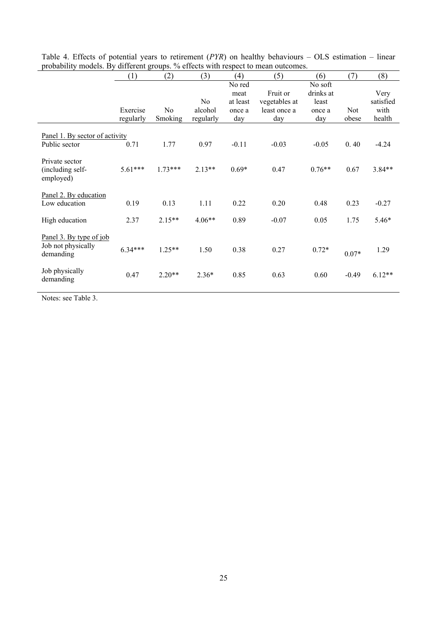|                                                            | (1)       | (2)            | (3)                       | (4)                                  | (5)                                       | (6)                                     | (7)     | (8)                       |
|------------------------------------------------------------|-----------|----------------|---------------------------|--------------------------------------|-------------------------------------------|-----------------------------------------|---------|---------------------------|
|                                                            | Exercise  | N <sub>0</sub> | N <sub>0</sub><br>alcohol | No red<br>meat<br>at least<br>once a | Fruit or<br>vegetables at<br>least once a | No soft<br>drinks at<br>least<br>once a | Not     | Very<br>satisfied<br>with |
|                                                            | regularly | Smoking        | regularly                 | day                                  | day                                       | day                                     | obese   | health                    |
| Panel 1. By sector of activity<br>Public sector            | 0.71      | 1.77           | 0.97                      | $-0.11$                              | $-0.03$                                   | $-0.05$                                 | 0.40    | $-4.24$                   |
| Private sector<br>(including self-<br>employed)            | $5.61***$ | $1.73***$      | $2.13**$                  | $0.69*$                              | 0.47                                      | $0.76**$                                | 0.67    | $3.84**$                  |
| Panel 2. By education<br>Low education                     | 0.19      | 0.13           | 1.11                      | 0.22                                 | 0.20                                      | 0.48                                    | 0.23    | $-0.27$                   |
| High education                                             | 2.37      | $2.15**$       | $4.06**$                  | 0.89                                 | $-0.07$                                   | 0.05                                    | 1.75    | $5.46*$                   |
| Panel 3. By type of job<br>Job not physically<br>demanding | $6.34***$ | $1.25**$       | 1.50                      | 0.38                                 | 0.27                                      | $0.72*$                                 | $0.07*$ | 1.29                      |
| Job physically<br>demanding                                | 0.47      | $2.20**$       | $2.36*$                   | 0.85                                 | 0.63                                      | 0.60                                    | $-0.49$ | $6.12**$                  |

Table 4. Effects of potential years to retirement (*PYR*) on healthy behaviours – OLS estimation – linear probability models. By different groups. % effects with respect to mean outcomes.

Notes: see Table 3.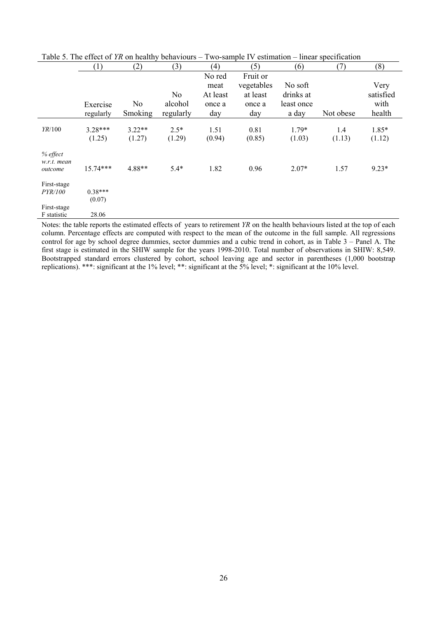|                         | (1)        | (2)      | (3)            | (4)      | (5)        | (6)        | (7)       | (8)       |
|-------------------------|------------|----------|----------------|----------|------------|------------|-----------|-----------|
|                         |            |          |                | No red   | Fruit or   |            |           |           |
|                         |            |          |                | meat     | vegetables | No soft    |           | Very      |
|                         |            |          | N <sub>0</sub> | At least | at least   | drinks at  |           | satisfied |
|                         | Exercise   | No       | alcohol        | once a   | once a     | least once |           | with      |
|                         | regularly  | Smoking  | regularly      | day      | day        | a day      | Not obese | health    |
|                         |            |          |                |          |            |            |           |           |
| YR/100                  | $3.28***$  | $3.22**$ | $2.5*$         | 1.51     | 0.81       | $1.79*$    | 1.4       | 1.85*     |
|                         | (1.25)     | (1.27)   | (1.29)         | (0.94)   | (0.85)     | (1.03)     | (1.13)    | (1.12)    |
| % effect<br>w.r.t. mean |            |          |                |          |            |            |           |           |
| outcome                 | $15.74***$ | 4.88**   | $5.4*$         | 1.82     | 0.96       | $2.07*$    | 1.57      | $9.23*$   |
| First-stage             |            |          |                |          |            |            |           |           |
| <i>PYR/100</i>          | $0.38***$  |          |                |          |            |            |           |           |
|                         | (0.07)     |          |                |          |            |            |           |           |
| First-stage             |            |          |                |          |            |            |           |           |
| F statistic             | 28.06      |          |                |          |            |            |           |           |

Table 5. The effect of *YR* on healthy behaviours – Two-sample IV estimation – linear specification

Notes: the table reports the estimated effects of years to retirement *YR* on the health behaviours listed at the top of each column. Percentage effects are computed with respect to the mean of the outcome in the full sample. All regressions control for age by school degree dummies, sector dummies and a cubic trend in cohort, as in Table 3 – Panel A. The first stage is estimated in the SHIW sample for the years 1998-2010. Total number of observations in SHIW: 8,549. Bootstrapped standard errors clustered by cohort, school leaving age and sector in parentheses (1,000 bootstrap replications). \*\*\*: significant at the 1% level; \*\*: significant at the 5% level; \*: significant at the 10% level.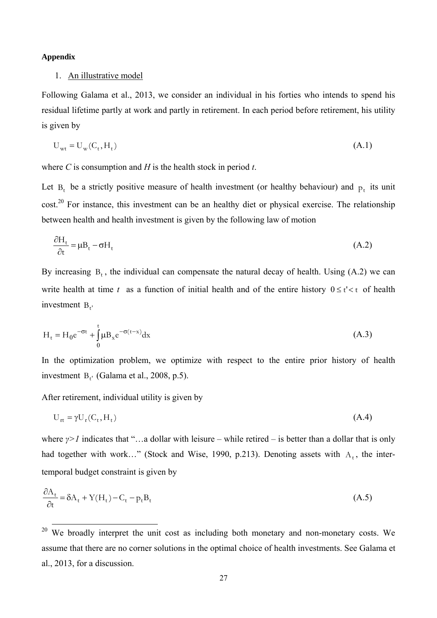#### **Appendix**

#### 1. An illustrative model

Following Galama et al., 2013, we consider an individual in his forties who intends to spend his residual lifetime partly at work and partly in retirement. In each period before retirement, his utility is given by

$$
U_{wt} = U_w(C_t, H_t) \tag{A.1}
$$

where *C* is consumption and *H* is the health stock in period *t*.

Let  $B_t$  be a strictly positive measure of health investment (or healthy behaviour) and  $p_t$  its unit cost.<sup>20</sup> For instance, this investment can be an healthy diet or physical exercise. The relationship between health and health investment is given by the following law of motion

$$
\frac{\partial H_t}{\partial t} = \mu B_t - \sigma H_t \tag{A.2}
$$

By increasing  $B_t$ , the individual can compensate the natural decay of health. Using (A.2) we can write health at time  $t$  as a function of initial health and of the entire history  $0 \le t' < t$  of health investment B<sub>t</sub>

$$
H_{t} = H_{0}e^{-\sigma t} + \int_{0}^{t} \mu B_{x}e^{-\sigma(t-x)}dx
$$
\n(A.3)

In the optimization problem, we optimize with respect to the entire prior history of health investment  $B_{t'}$  (Galama et al., 2008, p.5).

After retirement, individual utility is given by

$$
U_{rt} = \gamma U_r(C_t, H_t) \tag{A.4}
$$

where *γ>1* indicates that "…a dollar with leisure – while retired – is better than a dollar that is only had together with work…" (Stock and Wise, 1990, p.213). Denoting assets with  $A_t$ , the intertemporal budget constraint is given by

$$
\frac{\partial A_t}{\partial t} = \delta A_t + Y(H_t) - C_t - p_t B_t \tag{A.5}
$$

 $20$  We broadly interpret the unit cost as including both monetary and non-monetary costs. We assume that there are no corner solutions in the optimal choice of health investments. See Galama et al., 2013, for a discussion.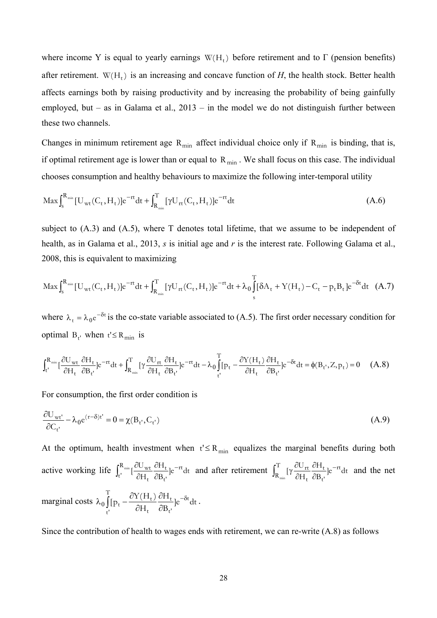where income Y is equal to yearly earnings  $W(H_t)$  before retirement and to Γ (pension benefits) after retirement.  $W(H_t)$  is an increasing and concave function of *H*, the health stock. Better health affects earnings both by raising productivity and by increasing the probability of being gainfully employed, but – as in Galama et al.,  $2013$  – in the model we do not distinguish further between these two channels.

Changes in minimum retirement age  $R_{min}$  affect individual choice only if  $R_{min}$  is binding, that is, if optimal retirement age is lower than or equal to  $R_{\text{min}}$ . We shall focus on this case. The individual chooses consumption and healthy behaviours to maximize the following inter-temporal utility

$$
\operatorname{Max} \int_{s}^{R_{\min}} \left[ U_{\text{wt}}(C_{t}, H_{t}) \right] e^{-rt} dt + \int_{R_{\min}}^{T} \left[ \gamma U_{\text{rt}}(C_{t}, H_{t}) \right] e^{-rt} dt \tag{A.6}
$$

subject to (A.3) and (A.5), where T denotes total lifetime, that we assume to be independent of health, as in Galama et al., 2013, *s* is initial age and *r* is the interest rate. Following Galama et al., 2008, this is equivalent to maximizing

$$
\operatorname{Max} \int_{s}^{R_{\min}} [U_{wt}(C_{t}, H_{t})] e^{-rt} dt + \int_{R_{\min}}^{T} [\gamma U_{rt}(C_{t}, H_{t})] e^{-rt} dt + \lambda_{0} \int_{s}^{T} [\delta A_{t} + Y(H_{t}) - C_{t} - p_{t} B_{t}] e^{-\delta t} dt \quad (A.7)
$$

where  $\lambda_t = \lambda_0 e^{-\delta t}$  is the co-state variable associated to (A.5). The first order necessary condition for optimal  $B_t$  when  $t' \le R_{min}$  is

$$
\int_{t'}^{R_{\text{min}}}[\frac{\partial U_{\text{wt}}}{\partial H_{t}}\frac{\partial H_{t}}{\partial B_{t'}}]e^{-rt}dt+\int_{R_{\text{min}}}^{T}[\gamma\frac{\partial U_{\text{rt}}}{\partial H_{t}}\frac{\partial H_{t}}{\partial B_{t'}}]e^{-rt}dt-\lambda_{0}\int_{t'}^{T}[p_{t}-\frac{\partial Y(H_{t})}{\partial H_{t}}\frac{\partial H_{t}}{\partial B_{t'}}]e^{-\delta t}dt=\phi(B_{t'},Z,p_{t})=0\quad \ (A.8)
$$

For consumption, the first order condition is

$$
\frac{\partial U_{wt'}}{\partial C_{t'}} - \lambda_0 e^{(r-\delta)t'} = 0 = \chi(B_{t'}, C_{t'})
$$
\n(A.9)

At the optimum, health investment when  $t' \leq R_{\min}$  equalizes the marginal benefits during both active working life  $\int_{1}^{R_{min}} \left[ \frac{\partial U_{wt}}{\partial x} \frac{\partial I_{tt}}{\partial y} \right] e^{-rt} dt$ B H H  $\int \frac{\partial U_{\text{wt}}}{\partial r} \frac{\partial H_t}{\partial r}$   $\big| e^{-rt}$ t' t t  $R_{min}$   $\frac{\partial U_{wt}}{\partial U}$ t'  $_{min}$ <sub>C</sub> $^{C}$ U<sub>wt</sub> $^{C}$ H<sub>t 10</sub>- $\hat{o}$  $\widehat{o}$  $\int_{t'}^{R_{min}} \left[\frac{\partial U_{\text{wt}}}{\partial H_t} \frac{\partial H_t}{\partial B_{t'}}\right] e^{-rt} dt$  and after retirement  $\int_{R_{min}}^{T} \left[\gamma \frac{\partial U_{\text{rt}}}{\partial H_t} \frac{\partial H_t}{\partial B_{t'}}\right] e^{-rt} dt$ H H  $[\gamma \frac{\partial U_{\text{rt}}}{\partial x} \frac{\partial H_t}{\partial x}]e^{-rt}$ t' t t  $T_{\text{IV}}\frac{\partial U_{\text{rt}}}{\partial t}$  $R_{\text{min}}$ ÷,  $\hat{c}$  $\hat{o}$  $\hat{o}$  $\int_{R}^{T} [\gamma \frac{\partial U_{rt}}{\partial H} \frac{\partial H_{t}}{\partial R}]e^{-rt}dt$  and the net marginal costs  $\lambda_0 \int_{t_1} p_t - \frac{\partial Y(H_t)}{\partial H_t} \frac{\partial H_t}{\partial B_{t_1}} e^{-\delta t}$  $\partial$  $\partial$  $\lambda_0 \int_{\rho_t}^{\tau}$ t' t t' t t  $_{t}$  -  $\frac{\partial \Gamma(H_{t})}{\partial H_{t}} \frac{\partial H_{t}}{\partial B_{t}}$  ]e<sup>-8t</sup> dt H H  $\int_0^1 [p_t - \frac{\partial Y(H_t)}{\partial H_t} \frac{\partial H_t}{\partial p}] e^{-\delta t} dt$ .

Since the contribution of health to wages ends with retirement, we can re-write (A.8) as follows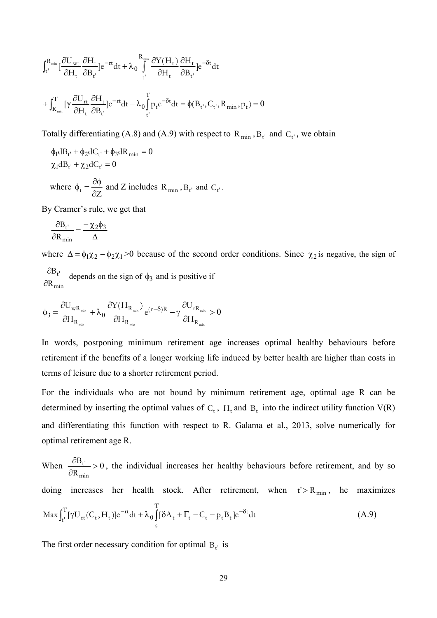$$
\begin{aligned} &\int_{t'}^{R_{\min}}[\frac{\partial U_{\mathrm{wt}}}{\partial H_{t}}\frac{\partial H_{t}}{\partial B_{t'}}]e^{-rt}dt+\lambda_{0}\int_{t'}^{R_{\min}}\frac{\partial Y(H_{t})}{\partial H_{t}}\frac{\partial H_{t}}{\partial B_{t'}}]e^{-\delta t}dt\\ &+\int_{R_{\min}}^{T}[\gamma\frac{\partial U_{\mathrm{rt}}}{\partial H_{t}}\frac{\partial H_{t}}{\partial B_{t'}}]e^{-rt}dt-\lambda_{0}\int_{t'}^{T}p_{t}e^{-\delta t}dt=\phi(B_{t'},C_{t'},R_{\min},p_{t})=0 \end{aligned}
$$

Totally differentiating (A.8) and (A.9) with respect to  $R_{min}$ ,  $B_t$  and  $C_t$ , we obtain

$$
\phi_1 dB_{t'} + \phi_2 dC_{t'} + \phi_3 dR_{\min} = 0
$$
  
\n
$$
\chi_1 dB_{t'} + \chi_2 dC_{t'} = 0
$$
  
\nwhere  $\phi_i = \frac{\partial \phi}{\partial Z}$  and Z includes  $R_{\min}$ ,  $B_{t'}$  and  $C_{t'}$ .

By Cramer's rule, we get that

$$
\frac{\partial B_{t'}}{\partial R_{\min}} = \frac{-\chi_2 \phi_3}{\Delta}
$$

where  $\Delta = \phi_1 \chi_2 - \phi_2 \chi_1 > 0$  because of the second order conditions. Since  $\chi_2$  is negative, the sign of min t' R B  $\frac{\partial B_{t'}}{\partial R_{min}}$  depends on the sign of  $\phi_3$  and is positive if

$$
\varphi_3=\frac{\partial U_{\rm wR_{\rm min}}}{\partial H_{R_{\rm min}}}+\lambda_0\frac{\partial Y(H_{R_{\rm min}})}{\partial H_{R_{\rm min}}}e^{(r-\delta)R}-\gamma\frac{\partial U_{rR_{\rm min}}}{\partial H_{R_{\rm min}}}>0
$$

In words, postponing minimum retirement age increases optimal healthy behaviours before retirement if the benefits of a longer working life induced by better health are higher than costs in terms of leisure due to a shorter retirement period.

For the individuals who are not bound by minimum retirement age, optimal age R can be determined by inserting the optimal values of  $C_t$ ,  $H_t$  and  $B_t$  into the indirect utility function  $V(R)$ and differentiating this function with respect to R. Galama et al., 2013, solve numerically for optimal retirement age R.

When  $\frac{OD_{t}}{2} > 0$  $\hat{o}$  $\partial$ min t' R  $B_{t'} > 0$ , the individual increases her healthy behaviours before retirement, and by so doing increases her health stock. After retirement, when  $t' > R_{min}$ , he maximizes  $\int_{t}^{T} [\gamma U_{rt}(C_{t}, H_{t})] e^{-rt} dt + \lambda_{0} \int_{0}^{T} [\delta A_{t} + \Gamma_{t} - C_{t} - p_{t} B_{t}] e^{-\delta t}$ s  $\text{Max} \int_{t'}^{T} [\gamma U_{rt}(C_t, H_t)] e^{-rt} dt + \lambda_0 \int [\delta A_t + \Gamma_t - C_t - p_t B_t] e^{-\delta t} dt$  (A.9)

The first order necessary condition for optimal  $B_{t'}$  is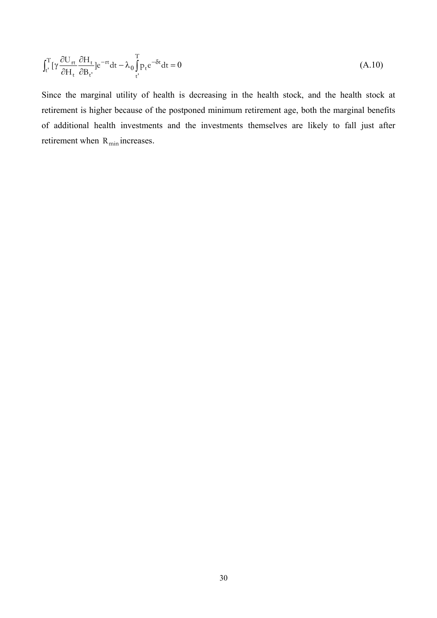$$
\int_{t}^{T} \left[ \gamma \frac{\partial U_{rt}}{\partial H_{t}} \frac{\partial H_{t}}{\partial B_{t'}} \right] e^{-rt} dt - \lambda_{0} \int_{t'}^{T} p_{t} e^{-\delta t} dt = 0
$$
\n(A.10)

Since the marginal utility of health is decreasing in the health stock, and the health stock at retirement is higher because of the postponed minimum retirement age, both the marginal benefits of additional health investments and the investments themselves are likely to fall just after retirement when  $R_{min}$  increases.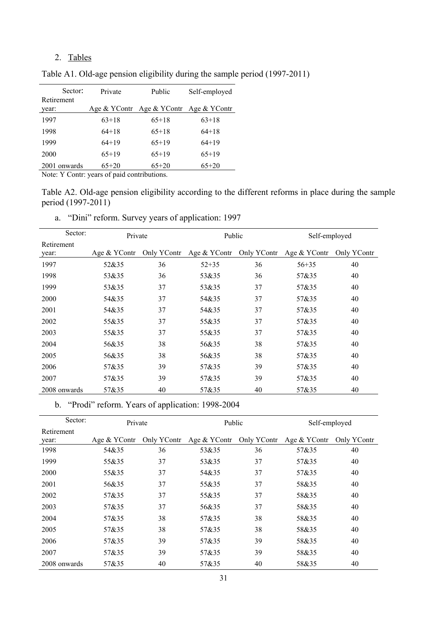## 2. Tables

| Sector:             | Private | Public                    | Self-employed |
|---------------------|---------|---------------------------|---------------|
| Retirement<br>year: |         | Age & YContr Age & YContr | Age & YContr  |
| 1997                | $63+18$ | $65+18$                   | $63+18$       |
| 1998                | $64+18$ | $65+18$                   | $64+18$       |
| 1999                | $64+19$ | $65+19$                   | $64+19$       |
| 2000                | $65+19$ | $65+19$                   | $65+19$       |
| 2001 onwards        | $65+20$ | $65+20$                   | $65+20$       |

Table A1. Old-age pension eligibility during the sample period (1997-2011)

Note: Y Contr: years of paid contributions.

Table A2. Old-age pension eligibility according to the different reforms in place during the sample period (1997-2011)

| a. "Dini" reform. Survey years of application: 1997 |  |
|-----------------------------------------------------|--|
|-----------------------------------------------------|--|

|                     | Sector: | Private      |             | Public       |             | Self-employed |             |  |
|---------------------|---------|--------------|-------------|--------------|-------------|---------------|-------------|--|
| Retirement<br>year: |         | Age & YContr | Only YContr | Age & YContr | Only YContr | Age & YContr  | Only YContr |  |
| 1997                |         | 52&35        | 36          | $52 + 35$    | 36          | $56 + 35$     | 40          |  |
| 1998                |         | 53&35        | 36          | 53&35        | 36          | 57&35         | 40          |  |
| 1999                |         | 53&35        | 37          | 53&35        | 37          | 57&35         | 40          |  |
| 2000                |         | 54&35        | 37          | 54&35        | 37          | 57&35         | 40          |  |
| 2001                |         | 54&35        | 37          | 54&35        | 37          | 57&35         | 40          |  |
| 2002                |         | 55&35        | 37          | 55&35        | 37          | 57&35         | 40          |  |
| 2003                |         | 55&35        | 37          | 55&35        | 37          | 57&35         | 40          |  |
| 2004                |         | 56&35        | 38          | 56&35        | 38          | 57&35         | 40          |  |
| 2005                |         | 56&35        | 38          | 56&35        | 38          | 57&35         | 40          |  |
| 2006                |         | 57&35        | 39          | 57&35        | 39          | 57&35         | 40          |  |
| 2007                |         | 57&35        | 39          | 57&35        | 39          | 57&35         | 40          |  |
| 2008 onwards        |         | 57&35        | 40          | 57&35        | 40          | 57&35         | 40          |  |

b. "Prodi" reform. Years of application: 1998-2004

| Sector:             | Private      |             | Public       |             | Self-employed |             |
|---------------------|--------------|-------------|--------------|-------------|---------------|-------------|
| Retirement<br>year: | Age & YContr | Only YContr | Age & YContr | Only YContr | Age & YContr  | Only YContr |
| 1998                | 54&35        | 36          | 53&35        | 36          | 57&35         | 40          |
| 1999                | 55&35        | 37          | 53&35        | 37          | 57&35         | 40          |
| 2000                | 55&35        | 37          | 54&35        | 37          | 57&35         | 40          |
| 2001                | 56&35        | 37          | 55&35        | 37          | 58&35         | 40          |
| 2002                | 57&35        | 37          | 55&35        | 37          | 58&35         | 40          |
| 2003                | 57&35        | 37          | 56&35        | 37          | 58&35         | 40          |
| 2004                | 57&35        | 38          | 57&35        | 38          | 58&35         | 40          |
| 2005                | 57&35        | 38          | 57&35        | 38          | 58&35         | 40          |
| 2006                | 57&35        | 39          | 57&35        | 39          | 58&35         | 40          |
| 2007                | 57&35        | 39          | 57&35        | 39          | 58&35         | 40          |
| 2008 onwards        | 57&35        | 40          | 57&35        | 40          | 58&35         | 40          |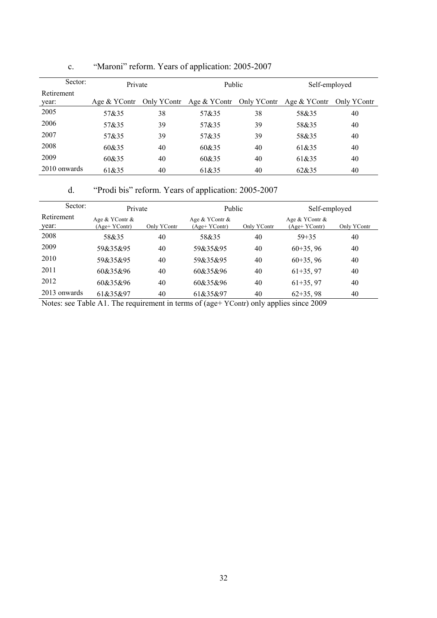| Sector:      | Private      |             | Public                   |    | Self-employed |             |
|--------------|--------------|-------------|--------------------------|----|---------------|-------------|
| Retirement   |              |             |                          |    |               |             |
| year:        | Age & YContr | Only YContr | Age & YContr Only YContr |    | Age & YContr  | Only YContr |
| 2005         | 57&35        | 38          | 57&35                    | 38 | 58&35         | 40          |
| 2006         | 57&35        | 39          | 57&35                    | 39 | 58&35         | 40          |
| 2007         | 57&35        | 39          | 57&35                    | 39 | 58&35         | 40          |
| 2008         | 60&35        | 40          | 60&35                    | 40 | 61&35         | 40          |
| 2009         | 60&35        | 40          | 60&35                    | 40 | 61&35         | 40          |
| 2010 onwards | 61&35        | 40          | 61&35                    | 40 | 62&35         | 40          |

## c. "Maroni" reform. Years of application: 2005-2007

d. "Prodi bis" reform. Years of application: 2005-2007

| Sector:             | Private                         |             | <b>Public</b>                   |             | Self-employed                   |             |
|---------------------|---------------------------------|-------------|---------------------------------|-------------|---------------------------------|-------------|
| Retirement<br>year: | Age & YContr &<br>(Age+ YContr) | Only YContr | Age & YContr &<br>(Age+ YContr) | Only YContr | Age & YContr &<br>(Age+ YContr) | Only YContr |
| 2008                | 58&35                           | 40          | 58&35                           | 40          | $59 + 35$                       | 40          |
| 2009                | 59&35&95                        | 40          | 59&35&95                        | 40          | $60+35, 96$                     | 40          |
| 2010                | 59&35&95                        | 40          | 59&35&95                        | 40          | $60+35, 96$                     | 40          |
| 2011                | 60&35&96                        | 40          | 60&35&96                        | 40          | $61+35, 97$                     | 40          |
| 2012                | 60&35&96                        | 40          | 60&35&96                        | 40          | $61+35, 97$                     | 40          |
| 2013 onwards        | 61&35&97                        | 40          | 61&35&97                        | 40          | $62+35,98$                      | 40          |

Notes: see Table A1. The requirement in terms of (age+ YContr) only applies since 2009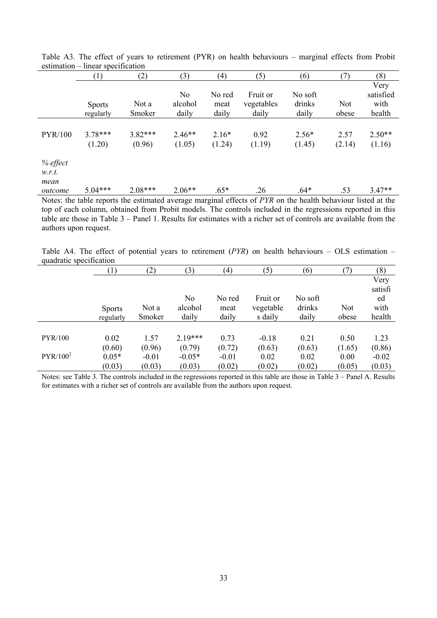|                            |                     | N <sub>0</sub>     |                         |                                 |                            |                     |                                                                                                                     |
|----------------------------|---------------------|--------------------|-------------------------|---------------------------------|----------------------------|---------------------|---------------------------------------------------------------------------------------------------------------------|
| <b>Sports</b><br>regularly | Not a<br>Smoker     | alcohol<br>daily   | No red<br>meat<br>daily | Fruit or<br>vegetables<br>daily | No soft<br>drinks<br>daily | <b>Not</b><br>obese | Very<br>satisfied<br>with<br>health                                                                                 |
| $3.78***$<br>(1.20)        | $3.82***$<br>(0.96) | $2.46**$<br>(1.05) | $2.16*$<br>(1.24)       | 0.92<br>(1.19)                  | $2.56*$<br>(1.45)          | 2.57<br>(2.14)      | $2.50**$<br>(1.16)                                                                                                  |
|                            |                     |                    |                         |                                 |                            |                     | $3.47**$                                                                                                            |
|                            | $5.04***$           | $2.08***$          | $2.06**$                | $.65*$                          | .26                        | $.64*$              | .53<br>Notes: the table reports the estimated average marginal effects of PYR on the health behaviour listed at the |

Table A3. The effect of years to retirement (PYR) on health behaviours – marginal effects from Probit estimation – linear specification

top of each column, obtained from Probit models. The controls included in the regressions reported in this table are those in Table 3 – Panel 1. Results for estimates with a richer set of controls are available from the authors upon request.

Table A4. The effect of potential years to retirement (*PYR*) on health behaviours – OLS estimation – quadratic specification

|                      | (1)           | (2)     | (3)            | (4)     | (5)       | (6)     | (7)        | (8)     |
|----------------------|---------------|---------|----------------|---------|-----------|---------|------------|---------|
|                      |               |         |                |         |           |         |            | Very    |
|                      |               |         |                |         |           |         |            | satisfi |
|                      |               |         | N <sub>o</sub> | No red  | Fruit or  | No soft |            | ed      |
|                      | <b>Sports</b> | Not a   | alcohol        | meat    | vegetable | drinks  | <b>Not</b> | with    |
|                      | regularly     | Smoker  | daily          | daily   | s daily   | daily   | obese      | health  |
|                      |               |         |                |         |           |         |            |         |
| <b>PYR/100</b>       | 0.02          | 1.57    | $2.19***$      | 0.73    | $-0.18$   | 0.21    | 0.50       | 1.23    |
|                      | (0.60)        | (0.96)  | (0.79)         | (0.72)  | (0.63)    | (0.63)  | (1.65)     | (0.86)  |
| PYR/100 <sup>2</sup> | $0.05*$       | $-0.01$ | $-0.05*$       | $-0.01$ | 0.02      | 0.02    | 0.00       | $-0.02$ |
|                      | (0.03)        | (0.03)  | (0.03)         | (0.02)  | (0.02)    | (0.02)  | (0.05)     | (0.03)  |

Notes: see Table 3. The controls included in the regressions reported in this table are those in Table 3 – Panel A. Results for estimates with a richer set of controls are available from the authors upon request.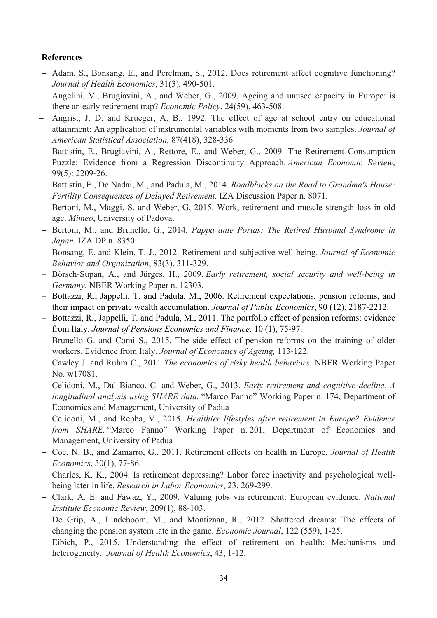#### **References**

- Adam, S., Bonsang, E., and Perelman, S., 2012. Does retirement affect cognitive functioning? *Journal of Health Economics*, 31(3), 490-501.
- Angelini, V., Brugiavini, A., and Weber, G., 2009. Ageing and unused capacity in Europe: is there an early retirement trap? *Economic Policy*, 24(59), 463-508.
- Angrist, J. D. and Krueger, A. B., 1992. The effect of age at school entry on educational attainment: An application of instrumental variables with moments from two samples. *Journal of American Statistical Association,* 87(418), 328-336
- Battistin, E., Brugiavini, A., Rettore, E., and Weber, G., 2009. The Retirement Consumption Puzzle: Evidence from a Regression Discontinuity Approach. *American Economic Review*, 99(5): 2209-26.
- Battistin, E., De Nadai, M., and Padula, M., 2014. *Roadblocks on the Road to Grandma's House: Fertility Consequences of Delayed Retirement.* IZA Discussion Paper n. 8071.
- Bertoni, M., Maggi, S. and Weber, G. 2015. Work, retirement and muscle strength loss in old age. *Mimeo*, University of Padova.
- Bertoni, M., and Brunello, G., 2014. *Pappa ante Portas: The Retired Husband Syndrome in Japan*. IZA DP n. 8350.
- Bonsang, E. and Klein, T. J., 2012. Retirement and subjective well-being*. Journal of Economic Behavior and Organization*, 83(3), 311-329.
- Börsch-Supan, A., and Jürges, H., 2009. *Early retirement, social security and well-being in Germany.* NBER Working Paper n. 12303.
- Bottazzi, R., Jappelli, T. and Padula, M., 2006. Retirement expectations, pension reforms, and their impact on private wealth accumulation. *Journal of Public Economics*, 90 (12), 2187-2212.
- Bottazzi, R., Jappelli, T. and Padula, M., 2011. The portfolio effect of pension reforms: evidence from Italy. *Journal of Pensions Economics and Finance*. 10 (1), 75-97.
- Brunello G. and Comi S., 2015, The side effect of pension reforms on the training of older workers. Evidence from Italy. *Journal of Economics of Ageing,* 113-122.
- Cawley J. and Ruhm C., 2011 *The economics of risky health behaviors*. NBER Working Paper No. w17081.
- Celidoni, M., Dal Bianco, C. and Weber, G., 2013. *Early retirement and cognitive decline. A longitudinal analysis using SHARE data.* "Marco Fanno" Working Paper n. 174, Department of Economics and Management, University of Padua
- Celidoni, M., and Rebba, V., 2015. *Healthier lifestyles after retirement in Europe? Evidence from SHARE.* "Marco Fanno" Working Paper n. 201, Department of Economics and Management, University of Padua
- Coe, N. B., and Zamarro, G., 2011. Retirement effects on health in Europe. *Journal of Health Economics*, 30(1), 77-86.
- Charles, K. K., 2004. Is retirement depressing? Labor force inactivity and psychological wellbeing later in life. *Research in Labor Economics*, 23, 269-299.
- Clark, A. E. and Fawaz, Y., 2009. Valuing jobs via retirement: European evidence. *National Institute Economic Review*, 209(1), 88-103.
- De Grip, A., Lindeboom, M., and Montizaan, R., 2012. Shattered dreams: The effects of changing the pension system late in the game. *Economic Journal*, 122 (559), 1-25.
- Eibich, P., 2015. Understanding the effect of retirement on health: Mechanisms and heterogeneity. *Journal of Health Economics*, 43, 1-12.